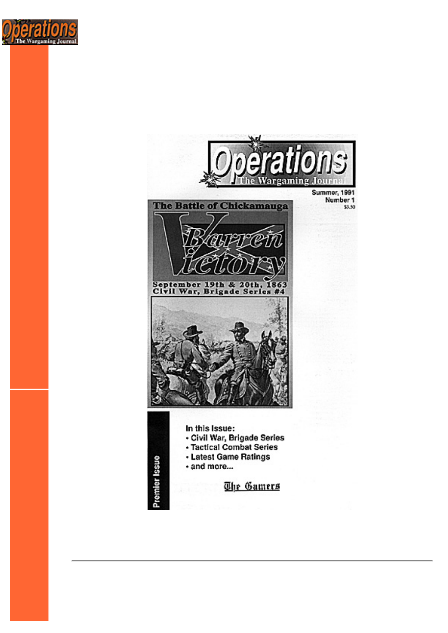

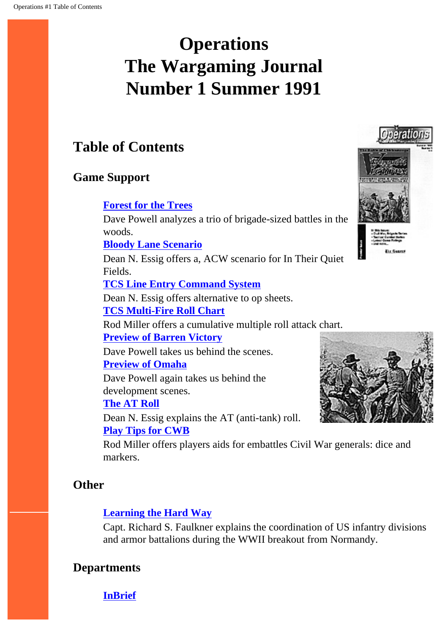# <span id="page-1-0"></span>**Operations The Wargaming Journal Number 1 Summer 1991**

# **Table of Contents**

### **Game Support**

#### **[Forest for the Trees](#page-3-0)**

Dave Powell analyzes a trio of brigade-sized battles in the woods.

#### **[Bloody Lane Scenario](#page-9-0)**

Dean N. Essig offers a, ACW scenario for In Their Quiet Fields.

#### **[TCS Line Entry Command System](#page-13-0)**

Dean N. Essig offers alternative to op sheets. **[TCS Multi-Fire Roll Chart](#page-15-0)**

Rod Miller offers a cumulative multiple roll attack chart.

#### **[Preview of Barren Victory](#page-16-0)**

Dave Powell takes us behind the scenes. **[Preview of Omaha](#page-22-0)**

Dave Powell again takes us behind the development scenes.

#### **[The AT Roll](#page-26-0)**

Dean N. Essig explains the AT (anti-tank) roll. **[Play Tips for CWB](#page-27-0)**

Rod Miller offers players aids for embattles Civil War generals: dice and markers.

### **Other**

#### **[Learning the Hard Way](#page-29-0)**

Capt. Richard S. Faulkner explains the coordination of US infantry divisions and armor battalions during the WWII breakout from Normandy.

### **Departments**



**[InBrief](#page-37-0)**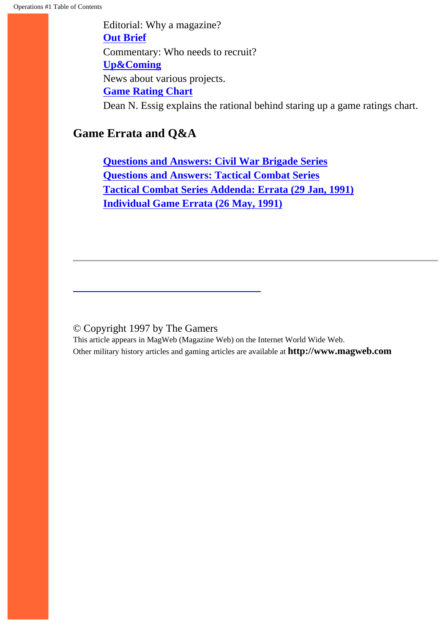Editorial: Why a magazine? **[Out Brief](#page-39-0)** Commentary: Who needs to recruit? **[Up&Coming](#page-41-0)** News about various projects. **[Game Rating Chart](#page-43-0)** Dean N. Essig explains the rational behind staring up a game ratings chart.

## **Game Errata and Q&A**

**[Questions and Answers: Civil War Brigade Series](#page-45-0) [Questions and Answers: Tactical Combat Series](#page-47-0) [Tactical Combat Series Addenda: Errata \(29 Jan, 1991\)](#page-49-0) [Individual Game Errata \(26 May, 1991\)](#page-51-0)**

#### © Copyright 1997 by The Gamers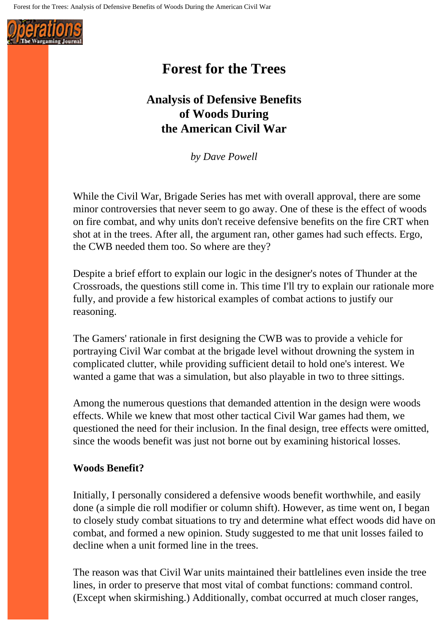<span id="page-3-0"></span>

# **Forest for the Trees**

# **Analysis of Defensive Benefits of Woods During the American Civil War**

*by Dave Powell*

While the Civil War, Brigade Series has met with overall approval, there are some minor controversies that never seem to go away. One of these is the effect of woods on fire combat, and why units don't receive defensive benefits on the fire CRT when shot at in the trees. After all, the argument ran, other games had such effects. Ergo, the CWB needed them too. So where are they?

Despite a brief effort to explain our logic in the designer's notes of Thunder at the Crossroads, the questions still come in. This time I'll try to explain our rationale more fully, and provide a few historical examples of combat actions to justify our reasoning.

The Gamers' rationale in first designing the CWB was to provide a vehicle for portraying Civil War combat at the brigade level without drowning the system in complicated clutter, while providing sufficient detail to hold one's interest. We wanted a game that was a simulation, but also playable in two to three sittings.

Among the numerous questions that demanded attention in the design were woods effects. While we knew that most other tactical Civil War games had them, we questioned the need for their inclusion. In the final design, tree effects were omitted, since the woods benefit was just not borne out by examining historical losses.

#### **Woods Benefit?**

Initially, I personally considered a defensive woods benefit worthwhile, and easily done (a simple die roll modifier or column shift). However, as time went on, I began to closely study combat situations to try and determine what effect woods did have on combat, and formed a new opinion. Study suggested to me that unit losses failed to decline when a unit formed line in the trees.

The reason was that Civil War units maintained their battlelines even inside the tree lines, in order to preserve that most vital of combat functions: command control. (Except when skirmishing.) Additionally, combat occurred at much closer ranges,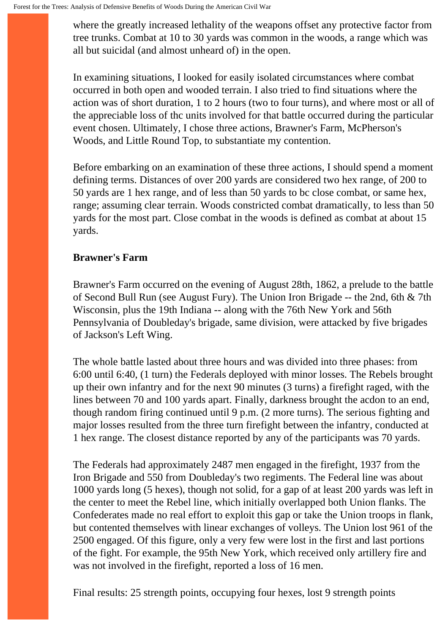where the greatly increased lethality of the weapons offset any protective factor from tree trunks. Combat at 10 to 30 yards was common in the woods, a range which was all but suicidal (and almost unheard of) in the open.

In examining situations, I looked for easily isolated circumstances where combat occurred in both open and wooded terrain. I also tried to find situations where the action was of short duration, 1 to 2 hours (two to four turns), and where most or all of the appreciable loss of thc units involved for that battle occurred during the particular event chosen. Ultimately, I chose three actions, Brawner's Farm, McPherson's Woods, and Little Round Top, to substantiate my contention.

Before embarking on an examination of these three actions, I should spend a moment defining terms. Distances of over 200 yards are considered two hex range, of 200 to 50 yards are 1 hex range, and of less than 50 yards to bc close combat, or same hex, range; assuming clear terrain. Woods constricted combat dramatically, to less than 50 yards for the most part. Close combat in the woods is defined as combat at about 15 yards.

#### **Brawner's Farm**

Brawner's Farm occurred on the evening of August 28th, 1862, a prelude to the battle of Second Bull Run (see August Fury). The Union Iron Brigade -- the 2nd, 6th & 7th Wisconsin, plus the 19th Indiana -- along with the 76th New York and 56th Pennsylvania of Doubleday's brigade, same division, were attacked by five brigades of Jackson's Left Wing.

The whole battle lasted about three hours and was divided into three phases: from 6:00 until 6:40, (1 turn) the Federals deployed with minor losses. The Rebels brought up their own infantry and for the next 90 minutes (3 turns) a firefight raged, with the lines between 70 and 100 yards apart. Finally, darkness brought the acdon to an end, though random firing continued until 9 p.m. (2 more turns). The serious fighting and major losses resulted from the three turn firefight between the infantry, conducted at 1 hex range. The closest distance reported by any of the participants was 70 yards.

The Federals had approximately 2487 men engaged in the firefight, 1937 from the Iron Brigade and 550 from Doubleday's two regiments. The Federal line was about 1000 yards long (5 hexes), though not solid, for a gap of at least 200 yards was left in the center to meet the Rebel line, which initially overlapped both Union flanks. The Confederates made no real effort to exploit this gap or take the Union troops in flank, but contented themselves with linear exchanges of volleys. The Union lost 961 of the 2500 engaged. Of this figure, only a very few were lost in the first and last portions of the fight. For example, the 95th New York, which received only artillery fire and was not involved in the firefight, reported a loss of 16 men.

Final results: 25 strength points, occupying four hexes, lost 9 strength points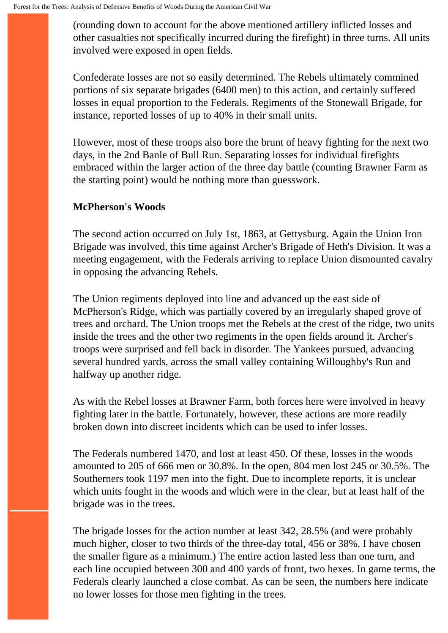(rounding down to account for the above mentioned artillery inflicted losses and other casualties not specifically incurred during the firefight) in three turns. All units involved were exposed in open fields.

Confederate losses are not so easily determined. The Rebels ultimately commined portions of six separate brigades (6400 men) to this action, and certainly suffered losses in equal proportion to the Federals. Regiments of the Stonewall Brigade, for instance, reported losses of up to 40% in their small units.

However, most of these troops also bore the brunt of heavy fighting for the next two days, in the 2nd Banle of Bull Run. Separating losses for individual firefights embraced within the larger action of the three day battle (counting Brawner Farm as the starting point) would be nothing more than guesswork.

#### **McPherson's Woods**

The second action occurred on July 1st, 1863, at Gettysburg. Again the Union Iron Brigade was involved, this time against Archer's Brigade of Heth's Division. It was a meeting engagement, with the Federals arriving to replace Union dismounted cavalry in opposing the advancing Rebels.

The Union regiments deployed into line and advanced up the east side of McPherson's Ridge, which was partially covered by an irregularly shaped grove of trees and orchard. The Union troops met the Rebels at the crest of the ridge, two units inside the trees and the other two regiments in the open fields around it. Archer's troops were surprised and fell back in disorder. The Yankees pursued, advancing several hundred yards, across the small valley containing Willoughby's Run and halfway up another ridge.

As with the Rebel losses at Brawner Farm, both forces here were involved in heavy fighting later in the battle. Fortunately, however, these actions are more readily broken down into discreet incidents which can be used to infer losses.

The Federals numbered 1470, and lost at least 450. Of these, losses in the woods amounted to 205 of 666 men or 30.8%. In the open, 804 men lost 245 or 30.5%. The Southerners took 1197 men into the fight. Due to incomplete reports, it is unclear which units fought in the woods and which were in the clear, but at least half of the brigade was in the trees.

The brigade losses for the action number at least 342, 28.5% (and were probably much higher, closer to two thirds of the three-day total, 456 or 38%. I have chosen the smaller figure as a minimum.) The entire action lasted less than one turn, and each line occupied between 300 and 400 yards of front, two hexes. In game terms, the Federals clearly launched a close combat. As can be seen, the numbers here indicate no lower losses for those men fighting in the trees.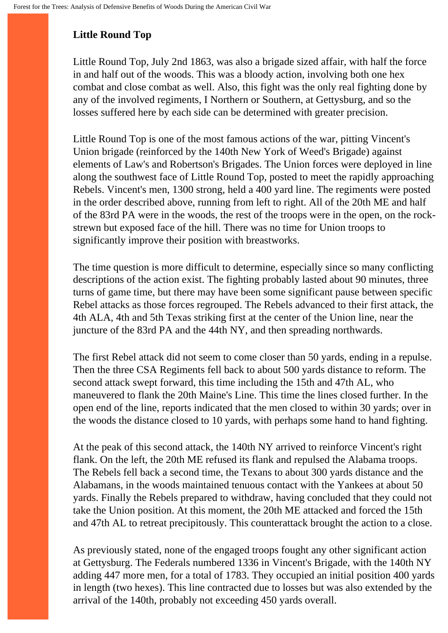# **Little Round Top**

Little Round Top, July 2nd 1863, was also a brigade sized affair, with half the force in and half out of the woods. This was a bloody action, involving both one hex combat and close combat as well. Also, this fight was the only real fighting done by any of the involved regiments, I Northern or Southern, at Gettysburg, and so the losses suffered here by each side can be determined with greater precision.

Little Round Top is one of the most famous actions of the war, pitting Vincent's Union brigade (reinforced by the 140th New York of Weed's Brigade) against elements of Law's and Robertson's Brigades. The Union forces were deployed in line along the southwest face of Little Round Top, posted to meet the rapidly approaching Rebels. Vincent's men, 1300 strong, held a 400 yard line. The regiments were posted in the order described above, running from left to right. All of the 20th ME and half of the 83rd PA were in the woods, the rest of the troops were in the open, on the rockstrewn but exposed face of the hill. There was no time for Union troops to significantly improve their position with breastworks.

The time question is more difficult to determine, especially since so many conflicting descriptions of the action exist. The fighting probably lasted about 90 minutes, three turns of game time, but there may have been some significant pause between specific Rebel attacks as those forces regrouped. The Rebels advanced to their first attack, the 4th ALA, 4th and 5th Texas striking first at the center of the Union line, near the juncture of the 83rd PA and the 44th NY, and then spreading northwards.

The first Rebel attack did not seem to come closer than 50 yards, ending in a repulse. Then the three CSA Regiments fell back to about 500 yards distance to reform. The second attack swept forward, this time including the 15th and 47th AL, who maneuvered to flank the 20th Maine's Line. This time the lines closed further. In the open end of the line, reports indicated that the men closed to within 30 yards; over in the woods the distance closed to 10 yards, with perhaps some hand to hand fighting.

At the peak of this second attack, the 140th NY arrived to reinforce Vincent's right flank. On the left, the 20th ME refused its flank and repulsed the Alabama troops. The Rebels fell back a second time, the Texans to about 300 yards distance and the Alabamans, in the woods maintained tenuous contact with the Yankees at about 50 yards. Finally the Rebels prepared to withdraw, having concluded that they could not take the Union position. At this moment, the 20th ME attacked and forced the 15th and 47th AL to retreat precipitously. This counterattack brought the action to a close.

As previously stated, none of the engaged troops fought any other significant action at Gettysburg. The Federals numbered 1336 in Vincent's Brigade, with the 140th NY adding 447 more men, for a total of 1783. They occupied an initial position 400 yards in length (two hexes). This line contracted due to losses but was also extended by the arrival of the 140th, probably not exceeding 450 yards overall.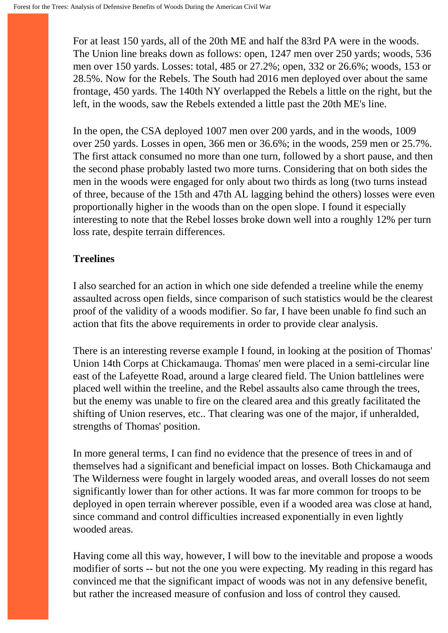For at least 150 yards, all of the 20th ME and half the 83rd PA were in the woods. The Union line breaks down as follows: open, 1247 men over 250 yards; woods, 536 men over 150 yards. Losses: total, 485 or 27.2%; open, 332 or 26.6%; woods, 153 or 28.5%. Now for the Rebels. The South had 2016 men deployed over about the same frontage, 450 yards. The 140th NY overlapped the Rebels a little on the right, but the left, in the woods, saw the Rebels extended a little past the 20th ME's line.

In the open, the CSA deployed 1007 men over 200 yards, and in the woods, 1009 over 250 yards. Losses in open, 366 men or 36.6%; in the woods, 259 men or 25.7%. The first attack consumed no more than one turn, followed by a short pause, and then the second phase probably lasted two more turns. Considering that on both sides the men in the woods were engaged for only about two thirds as long (two turns instead of three, because of the 15th and 47th AL lagging behind the others) losses were even proportionally higher in the woods than on the open slope. I found it especially interesting to note that the Rebel losses broke down well into a roughly 12% per turn loss rate, despite terrain differences.

### **Treelines**

I also searched for an action in which one side defended a treeline while the enemy assaulted across open fields, since comparison of such statistics would be the clearest proof of the validity of a woods modifier. So far, I have been unable fo find such an action that fits the above requirements in order to provide clear analysis.

There is an interesting reverse example I found, in looking at the position of Thomas' Union 14th Corps at Chickamauga. Thomas' men were placed in a semi-circular line east of the Lafeyette Road, around a large cleared field. The Union battlelines were placed well within the treeline, and the Rebel assaults also came through the trees, but the enemy was unable to fire on the cleared area and this greatly facilitated the shifting of Union reserves, etc.. That clearing was one of the major, if unheralded, strengths of Thomas' position.

In more general terms, I can find no evidence that the presence of trees in and of themselves had a significant and beneficial impact on losses. Both Chickamauga and The Wilderness were fought in largely wooded areas, and overall losses do not seem significantly lower than for other actions. It was far more common for troops to be deployed in open terrain wherever possible, even if a wooded area was close at hand, since command and control difficulties increased exponentially in even lightly wooded areas.

Having come all this way, however, I will bow to the inevitable and propose a woods modifier of sorts -- but not the one you were expecting. My reading in this regard has convinced me that the significant impact of woods was not in any defensive benefit, but rather the increased measure of confusion and loss of control they caused.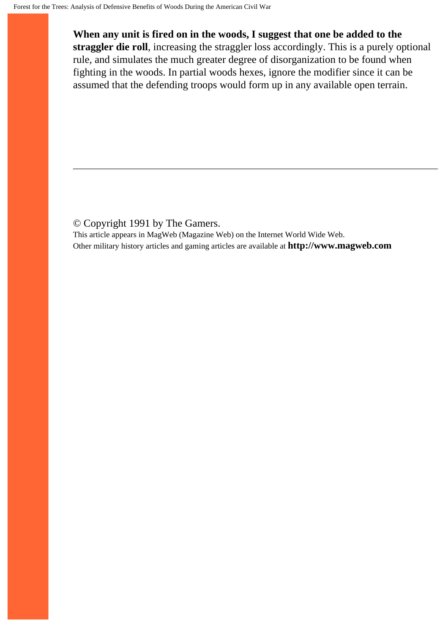**When any unit is fired on in the woods, I suggest that one be added to the straggler die roll**, increasing the straggler loss accordingly. This is a purely optional rule, and simulates the much greater degree of disorganization to be found when fighting in the woods. In partial woods hexes, ignore the modifier since it can be assumed that the defending troops would form up in any available open terrain.

#### © Copyright 1991 by The Gamers.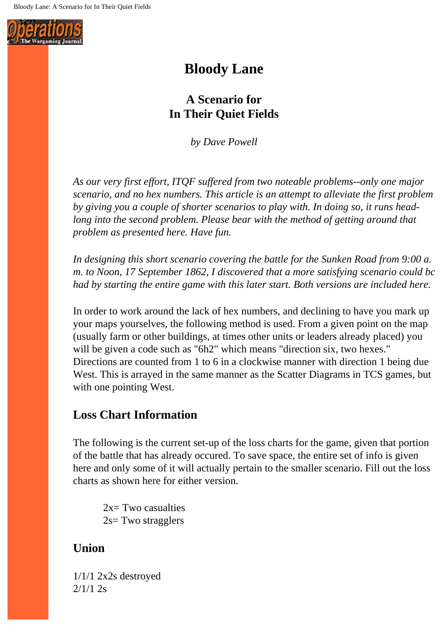<span id="page-9-0"></span>

# **Bloody Lane**

# **A Scenario for In Their Quiet Fields**

*by Dave Powell*

*As our very first effort, ITQF suffered from two noteable problems--only one major scenario, and no hex numbers. This article is an attempt to alleviate the first problem by giving you a couple of shorter scenarios to play with. In doing so, it runs headlong into the second problem. Please bear with the method of getting around that problem as presented here. Have fun.* 

*In designing this short scenario covering the battle for the Sunken Road from 9:00 a. m. to Noon, 17 September 1862, I discovered that a more satisfying scenario could bc had by starting the entire game with this later start. Both versions are included here.*

In order to work around the lack of hex numbers, and declining to have you mark up your maps yourselves, the following method is used. From a given point on the map (usually farm or other buildings, at times other units or leaders already placed) you will be given a code such as "6h2" which means "direction six, two hexes." Directions are counted from 1 to 6 in a clockwise manner with direction 1 being due West. This is arrayed in the same manner as the Scatter Diagrams in TCS games, but with one pointing West.

### **Loss Chart Information**

The following is the current set-up of the loss charts for the game, given that portion of the battle that has already occured. To save space, the entire set of info is given here and only some of it will actually pertain to the smaller scenario. Fill out the loss charts as shown here for either version.

 $2x=$  Two casualties 2s= Two stragglers

### **Union**

1/1/1 2x2s destroyed 2/1/1 2s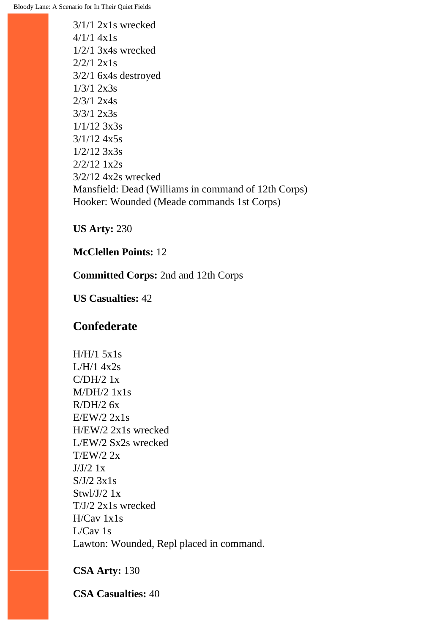Bloody Lane: A Scenario for In Their Quiet Fields

3/1/1 2x1s wrecked  $4/1/1$   $4x1s$ 1/2/1 3x4s wrecked 2/2/1 2x1s 3/2/1 6x4s destroyed 1/3/1 2x3s 2/3/1 2x4s 3/3/1 2x3s 1/1/12 3x3s 3/1/12 4x5s 1/2/12 3x3s 2/2/12 1x2s 3/2/12 4x2s wrecked Mansfield: Dead (Williams in command of 12th Corps) Hooker: Wounded (Meade commands 1st Corps)

**US Arty:** 230

**McClellen Points:** 12

**Committed Corps:** 2nd and 12th Corps

**US Casualties:** 42

### **Confederate**

 $H/H/1$  5x1s  $L/H/1.4x2s$ C/DH/2 1x M/DH/2 1x1s  $R/DH/2$  6x  $E/EW/2$  2x1s H/EW/2 2x1s wrecked L/EW/2 Sx2s wrecked T/EW/2 2x  $J/J/2$  1x  $S/J/2$  3x1s Stwl/J/2  $1x$ T/J/2 2x1s wrecked H/Cav 1x1s L/Cav 1s Lawton: Wounded, Repl placed in command.

**CSA Arty:** 130

**CSA Casualties:** 40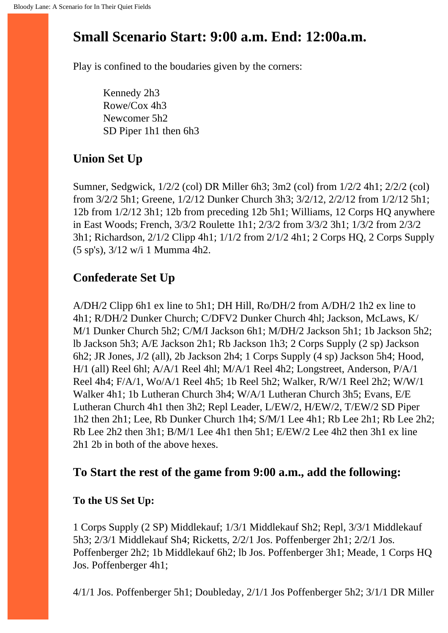# **Small Scenario Start: 9:00 a.m. End: 12:00a.m.**

Play is confined to the boudaries given by the corners:

Kennedy 2h3 Rowe/Cox 4h3 Newcomer 5h2 SD Piper 1h1 then 6h3

# **Union Set Up**

Sumner, Sedgwick, 1/2/2 (col) DR Miller 6h3; 3m2 (col) from 1/2/2 4h1; 2/2/2 (col) from 3/2/2 5h1; Greene, 1/2/12 Dunker Church 3h3; 3/2/12, 2/2/12 from 1/2/12 5h1; 12b from 1/2/12 3h1; 12b from preceding 12b 5h1; Williams, 12 Corps HQ anywhere in East Woods; French, 3/3/2 Roulette 1h1; 2/3/2 from 3/3/2 3h1; 1/3/2 from 2/3/2 3h1; Richardson, 2/1/2 Clipp 4h1; 1/1/2 from 2/1/2 4h1; 2 Corps HQ, 2 Corps Supply (5 sp's), 3/12 w/i 1 Mumma 4h2.

# **Confederate Set Up**

A/DH/2 Clipp 6h1 ex line to 5h1; DH Hill, Ro/DH/2 from A/DH/2 1h2 ex line to 4h1; R/DH/2 Dunker Church; C/DFV2 Dunker Church 4hl; Jackson, McLaws, K/ M/1 Dunker Church 5h2; C/M/I Jackson 6h1; M/DH/2 Jackson 5h1; 1b Jackson 5h2; lb Jackson 5h3; A/E Jackson 2h1; Rb Jackson 1h3; 2 Corps Supply (2 sp) Jackson 6h2; JR Jones, J/2 (all), 2b Jackson 2h4; 1 Corps Supply (4 sp) Jackson 5h4; Hood, H/1 (all) Reel 6hl; A/A/1 Reel 4hl; M/A/1 Reel 4h2; Longstreet, Anderson, P/A/1 Reel 4h4; F/A/1, Wo/A/1 Reel 4h5; 1b Reel 5h2; Walker, R/W/1 Reel 2h2; W/W/1 Walker 4h1; 1b Lutheran Church 3h4; W/A/1 Lutheran Church 3h5; Evans, E/E Lutheran Church 4h1 then 3h2; Repl Leader, L/EW/2, H/EW/2, T/EW/2 SD Piper 1h2 then 2h1; Lee, Rb Dunker Church 1h4; S/M/1 Lee 4h1; Rb Lee 2h1; Rb Lee 2h2; Rb Lee 2h2 then 3h1; B/M/1 Lee 4h1 then 5h1; E/EW/2 Lee 4h2 then 3h1 ex line 2h1 2b in both of the above hexes.

### **To Start the rest of the game from 9:00 a.m., add the following:**

### **To the US Set Up:**

1 Corps Supply (2 SP) Middlekauf; 1/3/1 Middlekauf Sh2; Repl, 3/3/1 Middlekauf 5h3; 2/3/1 Middlekauf Sh4; Ricketts, 2/2/1 Jos. Poffenberger 2h1; 2/2/1 Jos. Poffenberger 2h2; 1b Middlekauf 6h2; lb Jos. Poffenberger 3h1; Meade, 1 Corps HQ Jos. Poffenberger 4h1;

4/1/1 Jos. Poffenberger 5h1; Doubleday, 2/1/1 Jos Poffenberger 5h2; 3/1/1 DR Miller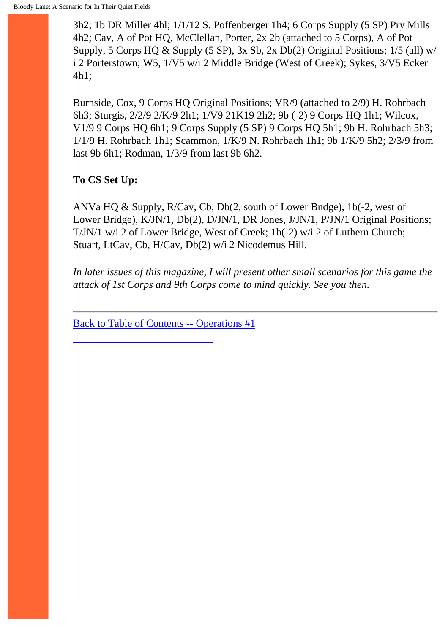3h2; 1b DR Miller 4hl; 1/1/12 S. Poffenberger 1h4; 6 Corps Supply (5 SP) Pry Mills 4h2; Cav, A of Pot HQ, McClellan, Porter, 2x 2b (attached to 5 Corps), A of Pot Supply, 5 Corps HQ & Supply (5 SP), 3x Sb, 2x Db(2) Original Positions; 1/5 (all) w/ i 2 Porterstown; W5, 1/V5 w/i 2 Middle Bridge (West of Creek); Sykes, 3/V5 Ecker 4h1;

Burnside, Cox, 9 Corps HQ Original Positions; VR/9 (attached to 2/9) H. Rohrbach 6h3; Sturgis, 2/2/9 2/K/9 2h1; 1/V9 21K19 2h2; 9b (-2) 9 Corps HQ 1h1; Wilcox, V1/9 9 Corps HQ 6h1; 9 Corps Supply (5 SP) 9 Corps HQ 5h1; 9b H. Rohrbach 5h3; 1/1/9 H. Rohrbach 1h1; Scammon, 1/K/9 N. Rohrbach 1h1; 9b 1/K/9 5h2; 2/3/9 from last 9b 6h1; Rodman, 1/3/9 from last 9b 6h2.

**To CS Set Up:**

ANVa HQ & Supply, R/Cav, Cb, Db(2, south of Lower Bndge), 1b(-2, west of Lower Bridge), K/JN/1, Db(2), D/JN/1, DR Jones, J/JN/1, P/JN/1 Original Positions; T/JN/1 w/i 2 of Lower Bridge, West of Creek; 1b(-2) w/i 2 of Luthern Church; Stuart, LtCav, Cb, H/Cav, Db(2) w/i 2 Nicodemus Hill.

*In later issues of this magazine, I will present other small scenarios for this game the attack of 1st Corps and 9th Corps come to mind quickly. See you then.*

[Back to Table of Contents -- Operations #1](#page-1-0)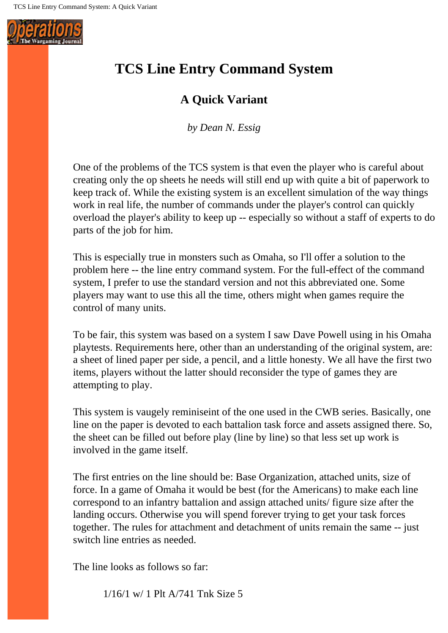<span id="page-13-0"></span>

# **TCS Line Entry Command System**

## **A Quick Variant**

*by Dean N. Essig*

One of the problems of the TCS system is that even the player who is careful about creating only the op sheets he needs will still end up with quite a bit of paperwork to keep track of. While the existing system is an excellent simulation of the way things work in real life, the number of commands under the player's control can quickly overload the player's ability to keep up -- especially so without a staff of experts to do parts of the job for him.

This is especially true in monsters such as Omaha, so I'll offer a solution to the problem here -- the line entry command system. For the full-effect of the command system, I prefer to use the standard version and not this abbreviated one. Some players may want to use this all the time, others might when games require the control of many units.

To be fair, this system was based on a system I saw Dave Powell using in his Omaha playtests. Requirements here, other than an understanding of the original system, are: a sheet of lined paper per side, a pencil, and a little honesty. We all have the first two items, players without the latter should reconsider the type of games they are attempting to play.

This system is vaugely reminiseint of the one used in the CWB series. Basically, one line on the paper is devoted to each battalion task force and assets assigned there. So, the sheet can be filled out before play (line by line) so that less set up work is involved in the game itself.

The first entries on the line should be: Base Organization, attached units, size of force. In a game of Omaha it would be best (for the Americans) to make each line correspond to an infantry battalion and assign attached units/ figure size after the landing occurs. Otherwise you will spend forever trying to get your task forces together. The rules for attachment and detachment of units remain the same -- just switch line entries as needed.

The line looks as follows so far:

1/16/1 w/ 1 Plt A/741 Tnk Size 5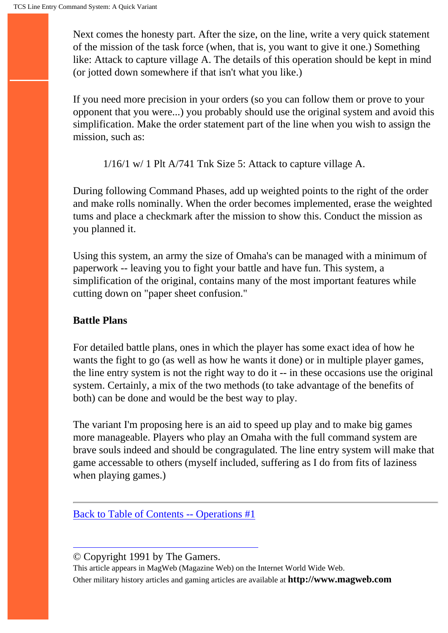Next comes the honesty part. After the size, on the line, write a very quick statement of the mission of the task force (when, that is, you want to give it one.) Something like: Attack to capture village A. The details of this operation should be kept in mind (or jotted down somewhere if that isn't what you like.)

If you need more precision in your orders (so you can follow them or prove to your opponent that you were...) you probably should use the original system and avoid this simplification. Make the order statement part of the line when you wish to assign the mission, such as:

1/16/1 w/ 1 Plt A/741 Tnk Size 5: Attack to capture village A.

During following Command Phases, add up weighted points to the right of the order and make rolls nominally. When the order becomes implemented, erase the weighted tums and place a checkmark after the mission to show this. Conduct the mission as you planned it.

Using this system, an army the size of Omaha's can be managed with a minimum of paperwork -- leaving you to fight your battle and have fun. This system, a simplification of the original, contains many of the most important features while cutting down on "paper sheet confusion."

#### **Battle Plans**

For detailed battle plans, ones in which the player has some exact idea of how he wants the fight to go (as well as how he wants it done) or in multiple player games, the line entry system is not the right way to do it -- in these occasions use the original system. Certainly, a mix of the two methods (to take advantage of the benefits of both) can be done and would be the best way to play.

The variant I'm proposing here is an aid to speed up play and to make big games more manageable. Players who play an Omaha with the full command system are brave souls indeed and should be congragulated. The line entry system will make that game accessable to others (myself included, suffering as I do from fits of laziness when playing games.)

[Back to Table of Contents -- Operations #1](#page-1-0)

© Copyright 1991 by The Gamers.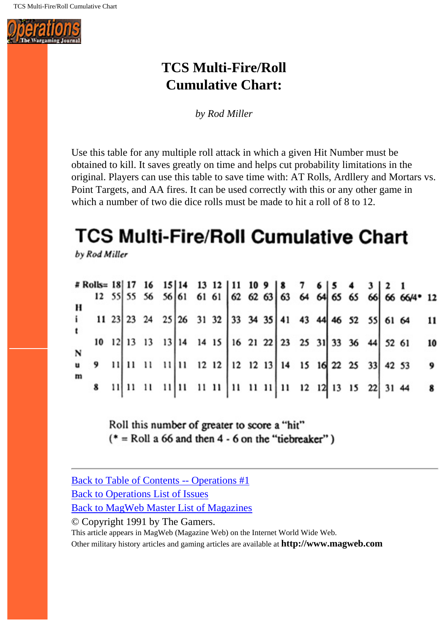<span id="page-15-0"></span>

# **TCS Multi-Fire/Roll Cumulative Chart:**

*by Rod Miller*

Use this table for any multiple roll attack in which a given Hit Number must be obtained to kill. It saves greatly on time and helps cut probability limitations in the original. Players can use this table to save time with: AT Rolls, Ardllery and Mortars vs. Point Targets, and AA fires. It can be used correctly with this or any other game in which a number of two die dice rolls must be made to hit a roll of 8 to 12.

# **TCS Multi-Fire/Roll Cumulative Chart**

by Rod Miller

|   |  |                                                          |  |  |  |  |  |  |  | * Rolls= 18 17 16 15 14 13 12 11 10 9 8 7 6 5 4 3 2 1<br>12 55 55 56 56 61 61 61 62 62 63 63 64 64 65 65 66 66 66/4* 12 |    |
|---|--|----------------------------------------------------------|--|--|--|--|--|--|--|-------------------------------------------------------------------------------------------------------------------------|----|
|   |  |                                                          |  |  |  |  |  |  |  |                                                                                                                         |    |
|   |  | 11 23 23 24 25 26 31 32 33 34 35 41 43 44 46 52 55 61 64 |  |  |  |  |  |  |  |                                                                                                                         | 11 |
|   |  |                                                          |  |  |  |  |  |  |  |                                                                                                                         |    |
|   |  | 10 12 13 13 13 14 14 15 16 21 22 23 25 31 33 36 44 52 61 |  |  |  |  |  |  |  |                                                                                                                         | 10 |
|   |  | 9 11 11 11 11 11 12 12 12 13 14 15 16 22 25 33 42 53     |  |  |  |  |  |  |  |                                                                                                                         |    |
|   |  |                                                          |  |  |  |  |  |  |  |                                                                                                                         | 9  |
| m |  | 8 11 11 11 11 11 11 11 11 11 11 12 12 13 15 22 31 44     |  |  |  |  |  |  |  |                                                                                                                         |    |
|   |  |                                                          |  |  |  |  |  |  |  |                                                                                                                         |    |

Roll this number of greater to score a "hit"  $(* = Roll a 66$  and then 4 - 6 on the "tiebreaker")

[Back to Table of Contents -- Operations #1](#page-1-0)

[Back to Operations List of Issues](http://www.magweb.com/premium/operatio/operiss.htm)

[Back to MagWeb Master List of Magazines](http://www.magweb.com/premium/maglist.htm)

© Copyright 1991 by The Gamers.

This article appears in MagWeb (Magazine Web) on the Internet World Wide Web.

Other military history articles and gaming articles are available at **http://www.magweb.com**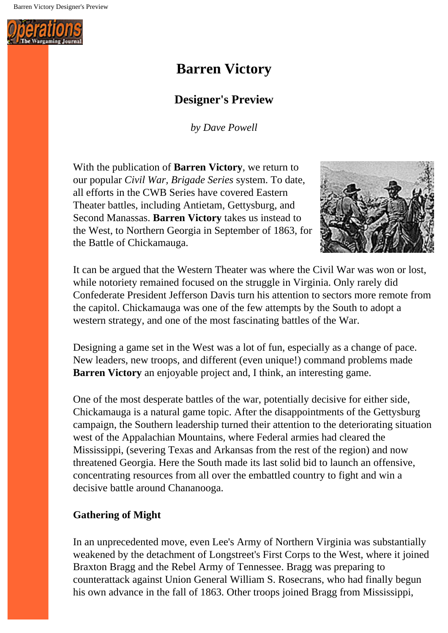<span id="page-16-0"></span>Barren Victory Designer's Preview



# **Barren Victory**

## **Designer's Preview**

*by Dave Powell*

With the publication of **Barren Victory**, we return to our popular *Civil War, Brigade Series* system. To date, all efforts in the CWB Series have covered Eastern Theater battles, including Antietam, Gettysburg, and Second Manassas. **Barren Victory** takes us instead to the West, to Northern Georgia in September of 1863, for the Battle of Chickamauga.



It can be argued that the Western Theater was where the Civil War was won or lost, while notoriety remained focused on the struggle in Virginia. Only rarely did Confederate President Jefferson Davis turn his attention to sectors more remote from the capitol. Chickamauga was one of the few attempts by the South to adopt a western strategy, and one of the most fascinating battles of the War.

Designing a game set in the West was a lot of fun, especially as a change of pace. New leaders, new troops, and different (even unique!) command problems made **Barren Victory** an enjoyable project and, I think, an interesting game.

One of the most desperate battles of the war, potentially decisive for either side, Chickamauga is a natural game topic. After the disappointments of the Gettysburg campaign, the Southern leadership turned their attention to the deteriorating situation west of the Appalachian Mountains, where Federal armies had cleared the Mississippi, (severing Texas and Arkansas from the rest of the region) and now threatened Georgia. Here the South made its last solid bid to launch an offensive, concentrating resources from all over the embattled country to fight and win a decisive battle around Chananooga.

### **Gathering of Might**

In an unprecedented move, even Lee's Army of Northern Virginia was substantially weakened by the detachment of Longstreet's First Corps to the West, where it joined Braxton Bragg and the Rebel Army of Tennessee. Bragg was preparing to counterattack against Union General William S. Rosecrans, who had finally begun his own advance in the fall of 1863. Other troops joined Bragg from Mississippi,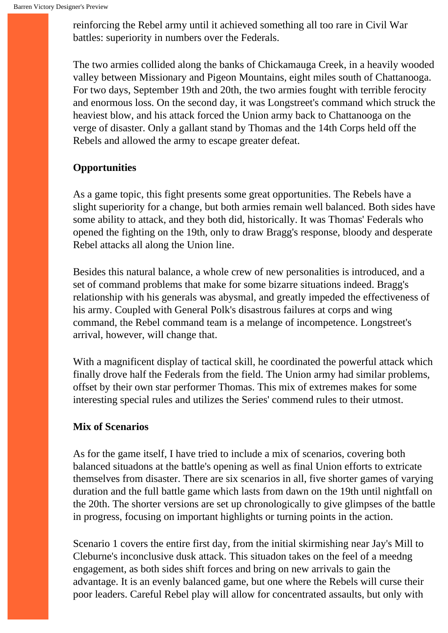reinforcing the Rebel army until it achieved something all too rare in Civil War battles: superiority in numbers over the Federals.

The two armies collided along the banks of Chickamauga Creek, in a heavily wooded valley between Missionary and Pigeon Mountains, eight miles south of Chattanooga. For two days, September 19th and 20th, the two armies fought with terrible ferocity and enormous loss. On the second day, it was Longstreet's command which struck the heaviest blow, and his attack forced the Union army back to Chattanooga on the verge of disaster. Only a gallant stand by Thomas and the 14th Corps held off the Rebels and allowed the army to escape greater defeat.

#### **Opportunities**

As a game topic, this fight presents some great opportunities. The Rebels have a slight superiority for a change, but both armies remain well balanced. Both sides have some ability to attack, and they both did, historically. It was Thomas' Federals who opened the fighting on the 19th, only to draw Bragg's response, bloody and desperate Rebel attacks all along the Union line.

Besides this natural balance, a whole crew of new personalities is introduced, and a set of command problems that make for some bizarre situations indeed. Bragg's relationship with his generals was abysmal, and greatly impeded the effectiveness of his army. Coupled with General Polk's disastrous failures at corps and wing command, the Rebel command team is a melange of incompetence. Longstreet's arrival, however, will change that.

With a magnificent display of tactical skill, he coordinated the powerful attack which finally drove half the Federals from the field. The Union army had similar problems, offset by their own star performer Thomas. This mix of extremes makes for some interesting special rules and utilizes the Series' commend rules to their utmost.

#### **Mix of Scenarios**

As for the game itself, I have tried to include a mix of scenarios, covering both balanced situadons at the battle's opening as well as final Union efforts to extricate themselves from disaster. There are six scenarios in all, five shorter games of varying duration and the full battle game which lasts from dawn on the 19th until nightfall on the 20th. The shorter versions are set up chronologically to give glimpses of the battle in progress, focusing on important highlights or turning points in the action.

Scenario 1 covers the entire first day, from the initial skirmishing near Jay's Mill to Cleburne's inconclusive dusk attack. This situadon takes on the feel of a meedng engagement, as both sides shift forces and bring on new arrivals to gain the advantage. It is an evenly balanced game, but one where the Rebels will curse their poor leaders. Careful Rebel play will allow for concentrated assaults, but only with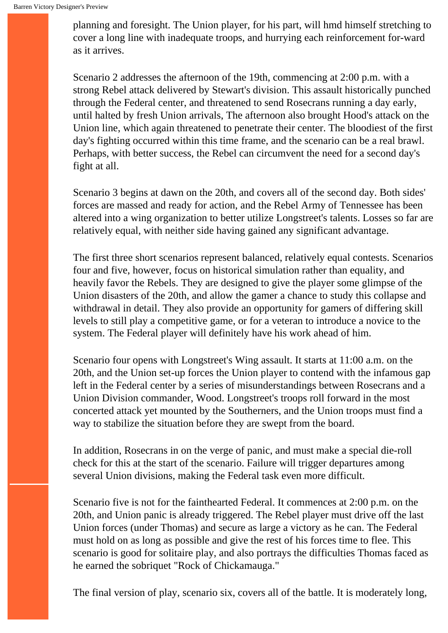planning and foresight. The Union player, for his part, will hmd himself stretching to cover a long line with inadequate troops, and hurrying each reinforcement for-ward as it arrives.

Scenario 2 addresses the afternoon of the 19th, commencing at 2:00 p.m. with a strong Rebel attack delivered by Stewart's division. This assault historically punched through the Federal center, and threatened to send Rosecrans running a day early, until halted by fresh Union arrivals, The afternoon also brought Hood's attack on the Union line, which again threatened to penetrate their center. The bloodiest of the first day's fighting occurred within this time frame, and the scenario can be a real brawl. Perhaps, with better success, the Rebel can circumvent the need for a second day's fight at all.

Scenario 3 begins at dawn on the 20th, and covers all of the second day. Both sides' forces are massed and ready for action, and the Rebel Army of Tennessee has been altered into a wing organization to better utilize Longstreet's talents. Losses so far are relatively equal, with neither side having gained any significant advantage.

The first three short scenarios represent balanced, relatively equal contests. Scenarios four and five, however, focus on historical simulation rather than equality, and heavily favor the Rebels. They are designed to give the player some glimpse of the Union disasters of the 20th, and allow the gamer a chance to study this collapse and withdrawal in detail. They also provide an opportunity for gamers of differing skill levels to still play a competitive game, or for a veteran to introduce a novice to the system. The Federal player will definitely have his work ahead of him.

Scenario four opens with Longstreet's Wing assault. It starts at 11:00 a.m. on the 20th, and the Union set-up forces the Union player to contend with the infamous gap left in the Federal center by a series of misunderstandings between Rosecrans and a Union Division commander, Wood. Longstreet's troops roll forward in the most concerted attack yet mounted by the Southerners, and the Union troops must find a way to stabilize the situation before they are swept from the board.

In addition, Rosecrans in on the verge of panic, and must make a special die-roll check for this at the start of the scenario. Failure will trigger departures among several Union divisions, making the Federal task even more difficult.

Scenario five is not for the fainthearted Federal. It commences at 2:00 p.m. on the 20th, and Union panic is already triggered. The Rebel player must drive off the last Union forces (under Thomas) and secure as large a victory as he can. The Federal must hold on as long as possible and give the rest of his forces time to flee. This scenario is good for solitaire play, and also portrays the difficulties Thomas faced as he earned the sobriquet "Rock of Chickamauga."

The final version of play, scenario six, covers all of the battle. It is moderately long,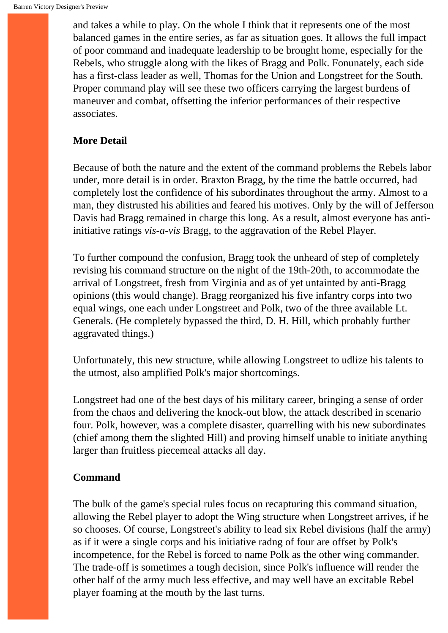and takes a while to play. On the whole I think that it represents one of the most balanced games in the entire series, as far as situation goes. It allows the full impact of poor command and inadequate leadership to be brought home, especially for the Rebels, who struggle along with the likes of Bragg and Polk. Fonunately, each side has a first-class leader as well, Thomas for the Union and Longstreet for the South. Proper command play will see these two officers carrying the largest burdens of maneuver and combat, offsetting the inferior performances of their respective associates.

### **More Detail**

Because of both the nature and the extent of the command problems the Rebels labor under, more detail is in order. Braxton Bragg, by the time the battle occurred, had completely lost the confidence of his subordinates throughout the army. Almost to a man, they distrusted his abilities and feared his motives. Only by the will of Jefferson Davis had Bragg remained in charge this long. As a result, almost everyone has antiinitiative ratings *vis-a-vis* Bragg, to the aggravation of the Rebel Player.

To further compound the confusion, Bragg took the unheard of step of completely revising his command structure on the night of the 19th-20th, to accommodate the arrival of Longstreet, fresh from Virginia and as of yet untainted by anti-Bragg opinions (this would change). Bragg reorganized his five infantry corps into two equal wings, one each under Longstreet and Polk, two of the three available Lt. Generals. (He completely bypassed the third, D. H. Hill, which probably further aggravated things.)

Unfortunately, this new structure, while allowing Longstreet to udlize his talents to the utmost, also amplified Polk's major shortcomings.

Longstreet had one of the best days of his military career, bringing a sense of order from the chaos and delivering the knock-out blow, the attack described in scenario four. Polk, however, was a complete disaster, quarrelling with his new subordinates (chief among them the slighted Hill) and proving himself unable to initiate anything larger than fruitless piecemeal attacks all day.

#### **Command**

The bulk of the game's special rules focus on recapturing this command situation, allowing the Rebel player to adopt the Wing structure when Longstreet arrives, if he so chooses. Of course, Longstreet's ability to lead six Rebel divisions (half the army) as if it were a single corps and his initiative radng of four are offset by Polk's incompetence, for the Rebel is forced to name Polk as the other wing commander. The trade-off is sometimes a tough decision, since Polk's influence will render the other half of the army much less effective, and may well have an excitable Rebel player foaming at the mouth by the last turns.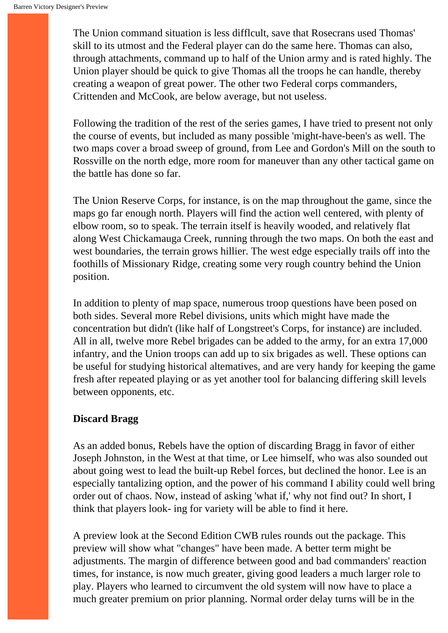The Union command situation is less difflcult, save that Rosecrans used Thomas' skill to its utmost and the Federal player can do the same here. Thomas can also, through attachments, command up to half of the Union army and is rated highly. The Union player should be quick to give Thomas all the troops he can handle, thereby creating a weapon of great power. The other two Federal corps commanders, Crittenden and McCook, are below average, but not useless.

Following the tradition of the rest of the series games, I have tried to present not only the course of events, but included as many possible 'might-have-been's as well. The two maps cover a broad sweep of ground, from Lee and Gordon's Mill on the south to Rossville on the north edge, more room for maneuver than any other tactical game on the battle has done so far.

The Union Reserve Corps, for instance, is on the map throughout the game, since the maps go far enough north. Players will find the action well centered, with plenty of elbow room, so to speak. The terrain itself is heavily wooded, and relatively flat along West Chickamauga Creek, running through the two maps. On both the east and west boundaries, the terrain grows hillier. The west edge especially trails off into the foothills of Missionary Ridge, creating some very rough country behind the Union position.

In addition to plenty of map space, numerous troop questions have been posed on both sides. Several more Rebel divisions, units which might have made the concentration but didn't (like half of Longstreet's Corps, for instance) are included. All in all, twelve more Rebel brigades can be added to the army, for an extra 17,000 infantry, and the Union troops can add up to six brigades as well. These options can be useful for studying historical altematives, and are very handy for keeping the game fresh after repeated playing or as yet another tool for balancing differing skill levels between opponents, etc.

#### **Discard Bragg**

As an added bonus, Rebels have the option of discarding Bragg in favor of either Joseph Johnston, in the West at that time, or Lee himself, who was also sounded out about going west to lead the built-up Rebel forces, but declined the honor. Lee is an especially tantalizing option, and the power of his command I ability could well bring order out of chaos. Now, instead of asking 'what if,' why not find out? In short, I think that players look- ing for variety will be able to find it here.

A preview look at the Second Edition CWB rules rounds out the package. This preview will show what "changes" have been made. A better term might be adjustments. The margin of difference between good and bad commanders' reaction times, for instance, is now much greater, giving good leaders a much larger role to play. Players who learned to circumvent the old system will now have to place a much greater premium on prior planning. Normal order delay turns will be in the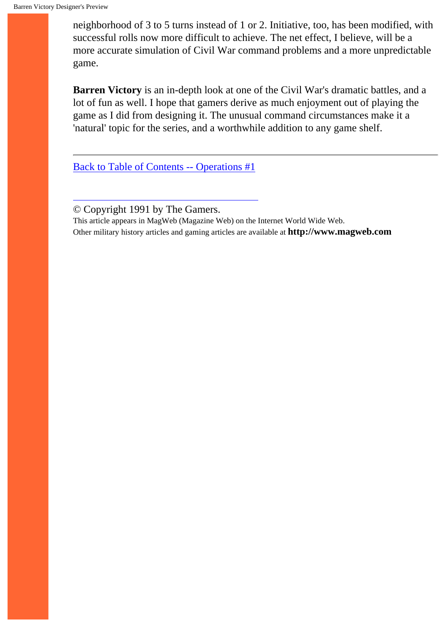neighborhood of 3 to 5 turns instead of 1 or 2. Initiative, too, has been modified, with successful rolls now more difficult to achieve. The net effect, I believe, will be a more accurate simulation of Civil War command problems and a more unpredictable game.

**Barren Victory** is an in-depth look at one of the Civil War's dramatic battles, and a lot of fun as well. I hope that gamers derive as much enjoyment out of playing the game as I did from designing it. The unusual command circumstances make it a 'natural' topic for the series, and a worthwhile addition to any game shelf.

[Back to Table of Contents -- Operations #1](#page-1-0)

© Copyright 1991 by The Gamers.

This article appears in MagWeb (Magazine Web) on the Internet World Wide Web.

Other military history articles and gaming articles are available at **http://www.magweb.com**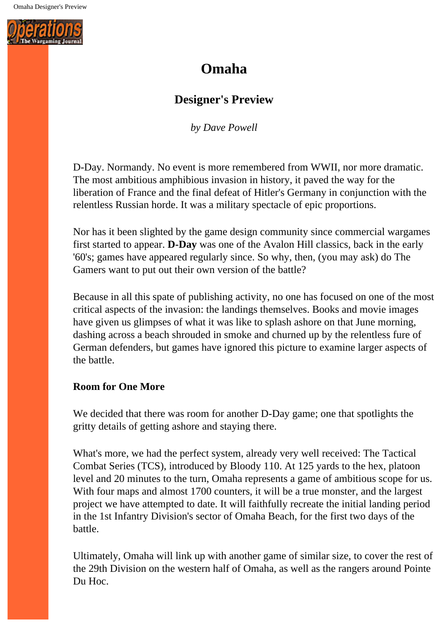<span id="page-22-0"></span>

# **Omaha**

## **Designer's Preview**

*by Dave Powell*

D-Day. Normandy. No event is more remembered from WWII, nor more dramatic. The most ambitious amphibious invasion in history, it paved the way for the liberation of France and the final defeat of Hitler's Germany in conjunction with the relentless Russian horde. It was a military spectacle of epic proportions.

Nor has it been slighted by the game design community since commercial wargames first started to appear. **D-Day** was one of the Avalon Hill classics, back in the early '60's; games have appeared regularly since. So why, then, (you may ask) do The Gamers want to put out their own version of the battle?

Because in all this spate of publishing activity, no one has focused on one of the most critical aspects of the invasion: the landings themselves. Books and movie images have given us glimpses of what it was like to splash ashore on that June morning, dashing across a beach shrouded in smoke and churned up by the relentless fure of German defenders, but games have ignored this picture to examine larger aspects of the battle.

#### **Room for One More**

We decided that there was room for another D-Day game; one that spotlights the gritty details of getting ashore and staying there.

What's more, we had the perfect system, already very well received: The Tactical Combat Series (TCS), introduced by Bloody 110. At 125 yards to the hex, platoon level and 20 minutes to the turn, Omaha represents a game of ambitious scope for us. With four maps and almost 1700 counters, it will be a true monster, and the largest project we have attempted to date. It will faithfully recreate the initial landing period in the 1st Infantry Division's sector of Omaha Beach, for the first two days of the battle.

Ultimately, Omaha will link up with another game of similar size, to cover the rest of the 29th Division on the western half of Omaha, as well as the rangers around Pointe Du Hoc.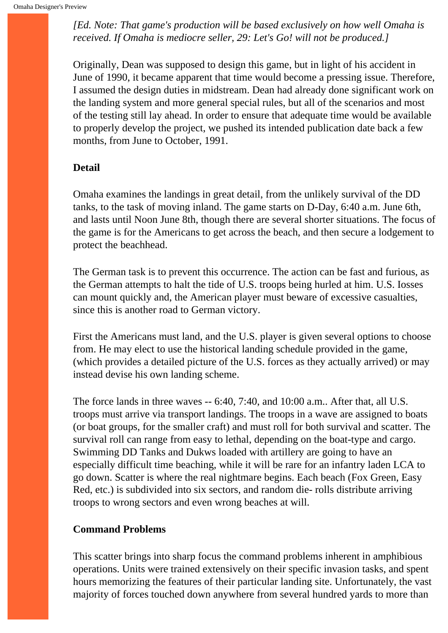*[Ed. Note: That game's production will be based exclusively on how well Omaha is received. If Omaha is mediocre seller, 29: Let's Go! will not be produced.]*

Originally, Dean was supposed to design this game, but in light of his accident in June of 1990, it became apparent that time would become a pressing issue. Therefore, I assumed the design duties in midstream. Dean had already done significant work on the landing system and more general special rules, but all of the scenarios and most of the testing still lay ahead. In order to ensure that adequate time would be available to properly develop the project, we pushed its intended publication date back a few months, from June to October, 1991.

#### **Detail**

Omaha examines the landings in great detail, from the unlikely survival of the DD tanks, to the task of moving inland. The game starts on D-Day, 6:40 a.m. June 6th, and lasts until Noon June 8th, though there are several shorter situations. The focus of the game is for the Americans to get across the beach, and then secure a lodgement to protect the beachhead.

The German task is to prevent this occurrence. The action can be fast and furious, as the German attempts to halt the tide of U.S. troops being hurled at him. U.S. Iosses can mount quickly and, the American player must beware of excessive casualties, since this is another road to German victory.

First the Americans must land, and the U.S. player is given several options to choose from. He may elect to use the historical landing schedule provided in the game, (which provides a detailed picture of the U.S. forces as they actually arrived) or may instead devise his own landing scheme.

The force lands in three waves -- 6:40, 7:40, and 10:00 a.m.. After that, all U.S. troops must arrive via transport landings. The troops in a wave are assigned to boats (or boat groups, for the smaller craft) and must roll for both survival and scatter. The survival roll can range from easy to lethal, depending on the boat-type and cargo. Swimming DD Tanks and Dukws loaded with artillery are going to have an especially difficult time beaching, while it will be rare for an infantry laden LCA to go down. Scatter is where the real nightmare begins. Each beach (Fox Green, Easy Red, etc.) is subdivided into six sectors, and random die- rolls distribute arriving troops to wrong sectors and even wrong beaches at will.

#### **Command Problems**

This scatter brings into sharp focus the command problems inherent in amphibious operations. Units were trained extensively on their specific invasion tasks, and spent hours memorizing the features of their particular landing site. Unfortunately, the vast majority of forces touched down anywhere from several hundred yards to more than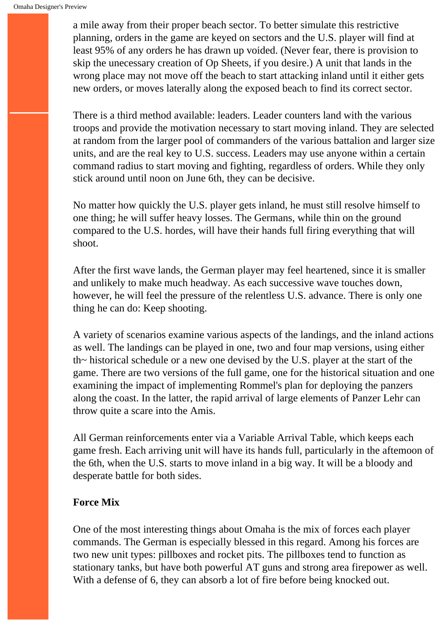a mile away from their proper beach sector. To better simulate this restrictive planning, orders in the game are keyed on sectors and the U.S. player will find at least 95% of any orders he has drawn up voided. (Never fear, there is provision to skip the unecessary creation of Op Sheets, if you desire.) A unit that lands in the wrong place may not move off the beach to start attacking inland until it either gets new orders, or moves laterally along the exposed beach to find its correct sector.

There is a third method available: leaders. Leader counters land with the various troops and provide the motivation necessary to start moving inland. They are selected at random from the larger pool of commanders of the various battalion and larger size units, and are the real key to U.S. success. Leaders may use anyone within a certain command radius to start moving and fighting, regardless of orders. While they only stick around until noon on June 6th, they can be decisive.

No matter how quickly the U.S. player gets inland, he must still resolve himself to one thing; he will suffer heavy losses. The Germans, while thin on the ground compared to the U.S. hordes, will have their hands full firing everything that will shoot.

After the first wave lands, the German player may feel heartened, since it is smaller and unlikely to make much headway. As each successive wave touches down, however, he will feel the pressure of the relentless U.S. advance. There is only one thing he can do: Keep shooting.

A variety of scenarios examine various aspects of the landings, and the inland actions as well. The landings can be played in one, two and four map versions, using either th~ historical schedule or a new one devised by the U.S. player at the start of the game. There are two versions of the full game, one for the historical situation and one examining the impact of implementing Rommel's plan for deploying the panzers along the coast. In the latter, the rapid arrival of large elements of Panzer Lehr can throw quite a scare into the Amis.

All German reinforcements enter via a Variable Arrival Table, which keeps each game fresh. Each arriving unit will have its hands full, particularly in the aftemoon of the 6th, when the U.S. starts to move inland in a big way. It will be a bloody and desperate battle for both sides.

#### **Force Mix**

One of the most interesting things about Omaha is the mix of forces each player commands. The German is especially blessed in this regard. Among his forces are two new unit types: pillboxes and rocket pits. The pillboxes tend to function as stationary tanks, but have both powerful AT guns and strong area firepower as well. With a defense of 6, they can absorb a lot of fire before being knocked out.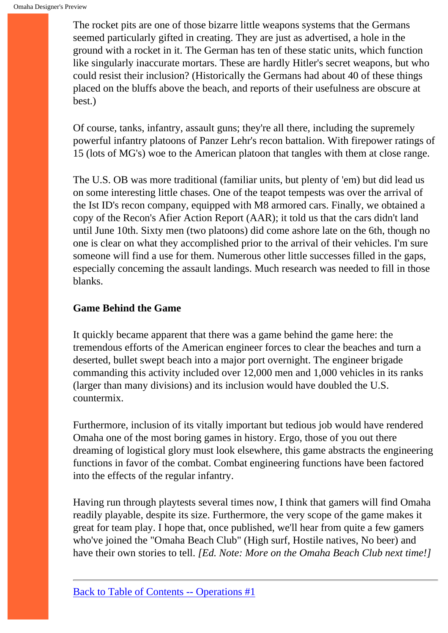The rocket pits are one of those bizarre little weapons systems that the Germans seemed particularly gifted in creating. They are just as advertised, a hole in the ground with a rocket in it. The German has ten of these static units, which function like singularly inaccurate mortars. These are hardly Hitler's secret weapons, but who could resist their inclusion? (Historically the Germans had about 40 of these things placed on the bluffs above the beach, and reports of their usefulness are obscure at best.)

Of course, tanks, infantry, assault guns; they're all there, including the supremely powerful infantry platoons of Panzer Lehr's recon battalion. With firepower ratings of 15 (lots of MG's) woe to the American platoon that tangles with them at close range.

The U.S. OB was more traditional (familiar units, but plenty of 'em) but did lead us on some interesting little chases. One of the teapot tempests was over the arrival of the Ist ID's recon company, equipped with M8 armored cars. Finally, we obtained a copy of the Recon's Afier Action Report (AAR); it told us that the cars didn't land until June 10th. Sixty men (two platoons) did come ashore late on the 6th, though no one is clear on what they accomplished prior to the arrival of their vehicles. I'm sure someone will find a use for them. Numerous other little successes filled in the gaps, especially conceming the assault landings. Much research was needed to fill in those blanks.

#### **Game Behind the Game**

It quickly became apparent that there was a game behind the game here: the tremendous efforts of the American engineer forces to clear the beaches and turn a deserted, bullet swept beach into a major port overnight. The engineer brigade commanding this activity included over 12,000 men and 1,000 vehicles in its ranks (larger than many divisions) and its inclusion would have doubled the U.S. countermix.

Furthermore, inclusion of its vitally important but tedious job would have rendered Omaha one of the most boring games in history. Ergo, those of you out there dreaming of logistical glory must look elsewhere, this game abstracts the engineering functions in favor of the combat. Combat engineering functions have been factored into the effects of the regular infantry.

Having run through playtests several times now, I think that gamers will find Omaha readily playable, despite its size. Furthermore, the very scope of the game makes it great for team play. I hope that, once published, we'll hear from quite a few gamers who've joined the "Omaha Beach Club" (High surf, Hostile natives, No beer) and have their own stories to tell. *[Ed. Note: More on the Omaha Beach Club next time!]*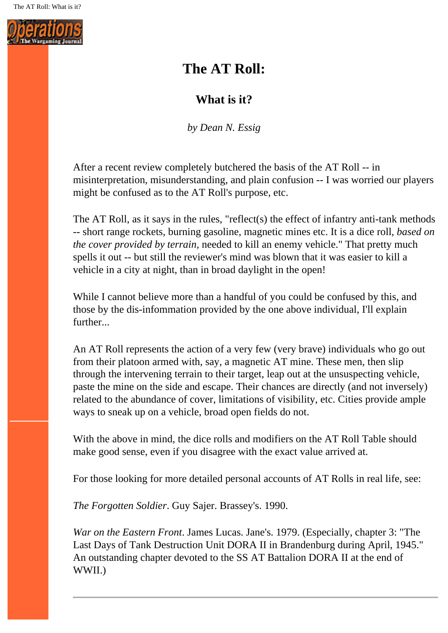<span id="page-26-0"></span>

# **The AT Roll:**

## **What is it?**

*by Dean N. Essig*

After a recent review completely butchered the basis of the AT Roll -- in misinterpretation, misunderstanding, and plain confusion -- I was worried our players might be confused as to the AT Roll's purpose, etc.

The AT Roll, as it says in the rules, "reflect(s) the effect of infantry anti-tank methods -- short range rockets, burning gasoline, magnetic mines etc. It is a dice roll, *based on the cover provided by terrain,* needed to kill an enemy vehicle." That pretty much spells it out -- but still the reviewer's mind was blown that it was easier to kill a vehicle in a city at night, than in broad daylight in the open!

While I cannot believe more than a handful of you could be confused by this, and those by the dis-infommation provided by the one above individual, I'll explain further...

An AT Roll represents the action of a very few (very brave) individuals who go out from their platoon armed with, say, a magnetic AT mine. These men, then slip through the intervening terrain to their target, leap out at the unsuspecting vehicle, paste the mine on the side and escape. Their chances are directly (and not inversely) related to the abundance of cover, limitations of visibility, etc. Cities provide ample ways to sneak up on a vehicle, broad open fields do not.

With the above in mind, the dice rolls and modifiers on the AT Roll Table should make good sense, even if you disagree with the exact value arrived at.

For those looking for more detailed personal accounts of AT Rolls in real life, see:

*The Forgotten Soldier*. Guy Sajer. Brassey's. 1990.

*War on the Eastern Front*. James Lucas. Jane's. 1979. (Especially, chapter 3: "The Last Days of Tank Destruction Unit DORA II in Brandenburg during April, 1945." An outstanding chapter devoted to the SS AT Battalion DORA II at the end of WWII.)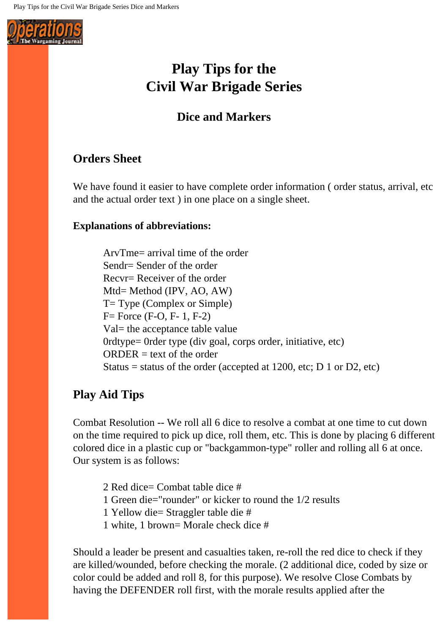<span id="page-27-0"></span>

# **Play Tips for the Civil War Brigade Series**

## **Dice and Markers**

## **Orders Sheet**

We have found it easier to have complete order information (order status, arrival, etc and the actual order text ) in one place on a single sheet.

#### **Explanations of abbreviations:**

ArvTme= arrival time of the order Sendr= Sender of the order Recvr= Receiver of the order Mtd= Method (IPV, AO, AW) T= Type (Complex or Simple) F= Force (F-O, F- 1, F-2) Val= the acceptance table value 0rdtype= 0rder type (div goal, corps order, initiative, etc)  $ORDER = text of the order$ Status = status of the order (accepted at 1200, etc; D 1 or D2, etc)

## **Play Aid Tips**

Combat Resolution -- We roll all 6 dice to resolve a combat at one time to cut down on the time required to pick up dice, roll them, etc. This is done by placing 6 different colored dice in a plastic cup or "backgammon-type" roller and rolling all 6 at once. Our system is as follows:

2 Red dice= Combat table dice #

1 Green die="rounder" or kicker to round the 1/2 results

1 Yellow die= Straggler table die #

1 white, 1 brown= Morale check dice #

Should a leader be present and casualties taken, re-roll the red dice to check if they are killed/wounded, before checking the morale. (2 additional dice, coded by size or color could be added and roll 8, for this purpose). We resolve Close Combats by having the DEFENDER roll first, with the morale results applied after the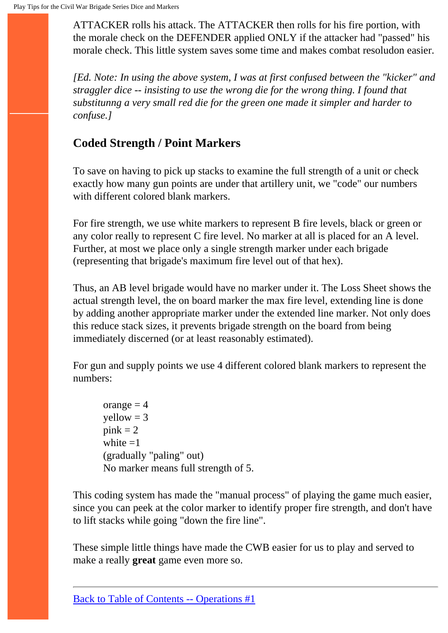ATTACKER rolls his attack. The ATTACKER then rolls for his fire portion, with the morale check on the DEFENDER applied ONLY if the attacker had "passed" his morale check. This little system saves some time and makes combat resoludon easier.

*[Ed. Note: In using the above system, I was at first confused between the "kicker" and straggler dice -- insisting to use the wrong die for the wrong thing. I found that substitunng a very small red die for the green one made it simpler and harder to confuse.]*

# **Coded Strength / Point Markers**

To save on having to pick up stacks to examine the full strength of a unit or check exactly how many gun points are under that artillery unit, we "code" our numbers with different colored blank markers.

For fire strength, we use white markers to represent B fire levels, black or green or any color really to represent C fire level. No marker at all is placed for an A level. Further, at most we place only a single strength marker under each brigade (representing that brigade's maximum fire level out of that hex).

Thus, an AB level brigade would have no marker under it. The Loss Sheet shows the actual strength level, the on board marker the max fire level, extending line is done by adding another appropriate marker under the extended line marker. Not only does this reduce stack sizes, it prevents brigade strength on the board from being immediately discerned (or at least reasonably estimated).

For gun and supply points we use 4 different colored blank markers to represent the numbers:

orange  $= 4$  $yellow = 3$  $pink = 2$ white  $=1$ (gradually "paling" out) No marker means full strength of 5.

This coding system has made the "manual process" of playing the game much easier, since you can peek at the color marker to identify proper fire strength, and don't have to lift stacks while going "down the fire line".

These simple little things have made the CWB easier for us to play and served to make a really **great** game even more so.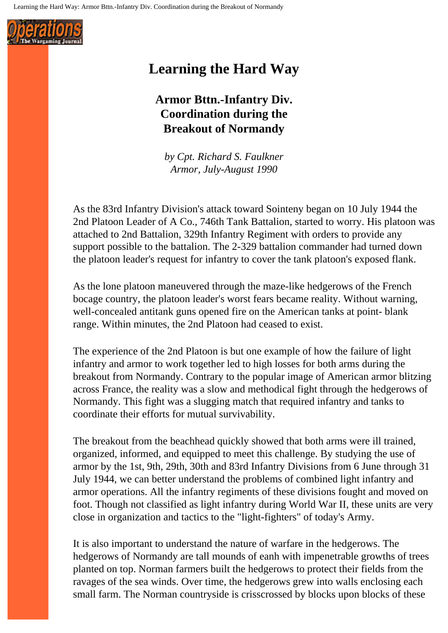<span id="page-29-0"></span>

# **Learning the Hard Way**

# **Armor Bttn.-Infantry Div. Coordination during the Breakout of Normandy**

*by Cpt. Richard S. Faulkner Armor, July-August 1990*

As the 83rd Infantry Division's attack toward Sointeny began on 10 July 1944 the 2nd Platoon Leader of A Co., 746th Tank Battalion, started to worry. His platoon was attached to 2nd Battalion, 329th Infantry Regiment with orders to provide any support possible to the battalion. The 2-329 battalion commander had turned down the platoon leader's request for infantry to cover the tank platoon's exposed flank.

As the lone platoon maneuvered through the maze-like hedgerows of the French bocage country, the platoon leader's worst fears became reality. Without warning, well-concealed antitank guns opened fire on the American tanks at point- blank range. Within minutes, the 2nd Platoon had ceased to exist.

The experience of the 2nd Platoon is but one example of how the failure of light infantry and armor to work together led to high losses for both arms during the breakout from Normandy. Contrary to the popular image of American armor blitzing across France, the reality was a slow and methodical fight through the hedgerows of Normandy. This fight was a slugging match that required infantry and tanks to coordinate their efforts for mutual survivability.

The breakout from the beachhead quickly showed that both arms were ill trained, organized, informed, and equipped to meet this challenge. By studying the use of armor by the 1st, 9th, 29th, 30th and 83rd Infantry Divisions from 6 June through 31 July 1944, we can better understand the problems of combined light infantry and armor operations. All the infantry regiments of these divisions fought and moved on foot. Though not classified as light infantry during World War II, these units are very close in organization and tactics to the "light-fighters" of today's Army.

It is also important to understand the nature of warfare in the hedgerows. The hedgerows of Normandy are tall mounds of eanh with impenetrable growths of trees planted on top. Norman farmers built the hedgerows to protect their fields from the ravages of the sea winds. Over time, the hedgerows grew into walls enclosing each small farm. The Norman countryside is crisscrossed by blocks upon blocks of these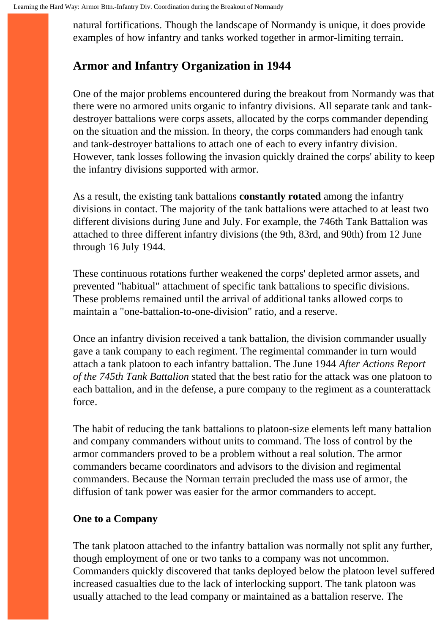natural fortifications. Though the landscape of Normandy is unique, it does provide examples of how infantry and tanks worked together in armor-limiting terrain.

## **Armor and Infantry Organization in 1944**

One of the major problems encountered during the breakout from Normandy was that there were no armored units organic to infantry divisions. All separate tank and tankdestroyer battalions were corps assets, allocated by the corps commander depending on the situation and the mission. In theory, the corps commanders had enough tank and tank-destroyer battalions to attach one of each to every infantry division. However, tank losses following the invasion quickly drained the corps' ability to keep the infantry divisions supported with armor.

As a result, the existing tank battalions **constantly rotated** among the infantry divisions in contact. The majority of the tank battalions were attached to at least two different divisions during June and July. For example, the 746th Tank Battalion was attached to three different infantry divisions (the 9th, 83rd, and 90th) from 12 June through 16 July 1944.

These continuous rotations further weakened the corps' depleted armor assets, and prevented "habitual" attachment of specific tank battalions to specific divisions. These problems remained until the arrival of additional tanks allowed corps to maintain a "one-battalion-to-one-division" ratio, and a reserve.

Once an infantry division received a tank battalion, the division commander usually gave a tank company to each regiment. The regimental commander in turn would attach a tank platoon to each infantry battalion. The June 1944 *After Actions Report of the 745th Tank Battalion* stated that the best ratio for the attack was one platoon to each battalion, and in the defense, a pure company to the regiment as a counterattack force.

The habit of reducing the tank battalions to platoon-size elements left many battalion and company commanders without units to command. The loss of control by the armor commanders proved to be a problem without a real solution. The armor commanders became coordinators and advisors to the division and regimental commanders. Because the Norman terrain precluded the mass use of armor, the diffusion of tank power was easier for the armor commanders to accept.

#### **One to a Company**

The tank platoon attached to the infantry battalion was normally not split any further, though employment of one or two tanks to a company was not uncommon. Commanders quickly discovered that tanks deployed below the platoon level suffered increased casualties due to the lack of interlocking support. The tank platoon was usually attached to the lead company or maintained as a battalion reserve. The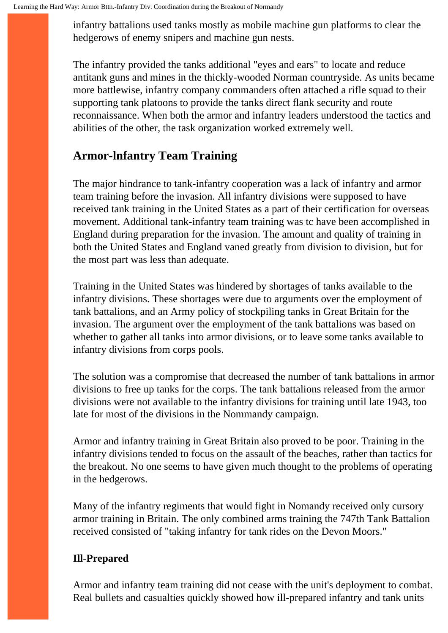infantry battalions used tanks mostly as mobile machine gun platforms to clear the hedgerows of enemy snipers and machine gun nests.

The infantry provided the tanks additional "eyes and ears" to locate and reduce antitank guns and mines in the thickly-wooded Norman countryside. As units became more battlewise, infantry company commanders often attached a rifle squad to their supporting tank platoons to provide the tanks direct flank security and route reconnaissance. When both the armor and infantry leaders understood the tactics and abilities of the other, the task organization worked extremely well.

## **Armor-lnfantry Team Training**

The major hindrance to tank-infantry cooperation was a lack of infantry and armor team training before the invasion. All infantry divisions were supposed to have received tank training in the United States as a part of their certification for overseas movement. Additional tank-infantry team training was tc have been accomplished in England during preparation for the invasion. The amount and quality of training in both the United States and England vaned greatly from division to division, but for the most part was less than adequate.

Training in the United States was hindered by shortages of tanks available to the infantry divisions. These shortages were due to arguments over the employment of tank battalions, and an Army policy of stockpiling tanks in Great Britain for the invasion. The argument over the employment of the tank battalions was based on whether to gather all tanks into armor divisions, or to leave some tanks available to infantry divisions from corps pools.

The solution was a compromise that decreased the number of tank battalions in armor divisions to free up tanks for the corps. The tank battalions released from the armor divisions were not available to the infantry divisions for training until late 1943, too late for most of the divisions in the Nommandy campaign.

Armor and infantry training in Great Britain also proved to be poor. Training in the infantry divisions tended to focus on the assault of the beaches, rather than tactics for the breakout. No one seems to have given much thought to the problems of operating in the hedgerows.

Many of the infantry regiments that would fight in Nomandy received only cursory armor training in Britain. The only combined arms training the 747th Tank Battalion received consisted of "taking infantry for tank rides on the Devon Moors."

### **Ill-Prepared**

Armor and infantry team training did not cease with the unit's deployment to combat. Real bullets and casualties quickly showed how ill-prepared infantry and tank units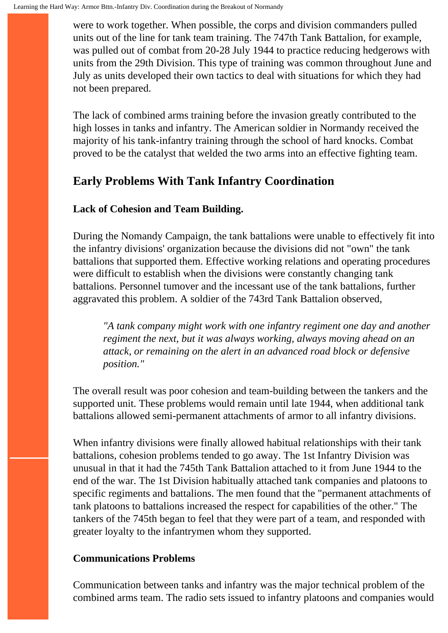were to work together. When possible, the corps and division commanders pulled units out of the line for tank team training. The 747th Tank Battalion, for example, was pulled out of combat from 20-28 July 1944 to practice reducing hedgerows with units from the 29th Division. This type of training was common throughout June and July as units developed their own tactics to deal with situations for which they had not been prepared.

The lack of combined arms training before the invasion greatly contributed to the high losses in tanks and infantry. The American soldier in Normandy received the majority of his tank-infantry training through the school of hard knocks. Combat proved to be the catalyst that welded the two arms into an effective fighting team.

# **Early Problems With Tank Infantry Coordination**

### **Lack of Cohesion and Team Building.**

During the Nomandy Campaign, the tank battalions were unable to effectively fit into the infantry divisions' organization because the divisions did not "own" the tank battalions that supported them. Effective working relations and operating procedures were difficult to establish when the divisions were constantly changing tank battalions. Personnel tumover and the incessant use of the tank battalions, further aggravated this problem. A soldier of the 743rd Tank Battalion observed,

*"A tank company might work with one infantry regiment one day and another regiment the next, but it was always working, always moving ahead on an attack, or remaining on the alert in an advanced road block or defensive position."*

The overall result was poor cohesion and team-building between the tankers and the supported unit. These problems would remain until late 1944, when additional tank battalions allowed semi-permanent attachments of armor to all infantry divisions.

When infantry divisions were finally allowed habitual relationships with their tank battalions, cohesion problems tended to go away. The 1st Infantry Division was unusual in that it had the 745th Tank Battalion attached to it from June 1944 to the end of the war. The 1st Division habitually attached tank companies and platoons to specific regiments and battalions. The men found that the "permanent attachments of tank platoons to battalions increased the respect for capabilities of the other." The tankers of the 745th began to feel that they were part of a team, and responded with greater loyalty to the infantrymen whom they supported.

#### **Communications Problems**

Communication between tanks and infantry was the major technical problem of the combined arms team. The radio sets issued to infantry platoons and companies would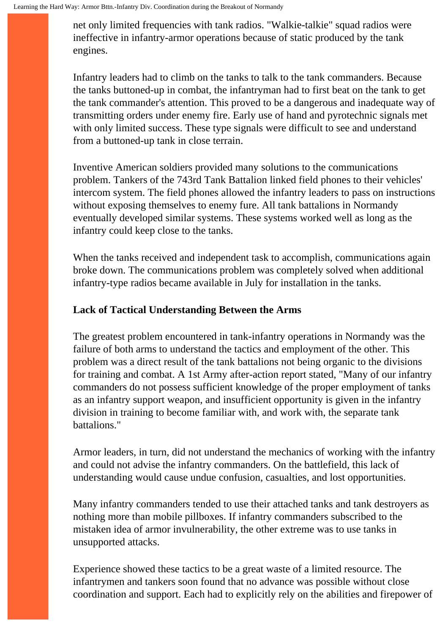net only limited frequencies with tank radios. "Walkie-talkie" squad radios were ineffective in infantry-armor operations because of static produced by the tank engines.

Infantry leaders had to climb on the tanks to talk to the tank commanders. Because the tanks buttoned-up in combat, the infantryman had to first beat on the tank to get the tank commander's attention. This proved to be a dangerous and inadequate way of transmitting orders under enemy fire. Early use of hand and pyrotechnic signals met with only limited success. These type signals were difficult to see and understand from a buttoned-up tank in close terrain.

Inventive American soldiers provided many solutions to the communications problem. Tankers of the 743rd Tank Battalion linked field phones to their vehicles' intercom system. The field phones allowed the infantry leaders to pass on instructions without exposing themselves to enemy fure. All tank battalions in Normandy eventually developed similar systems. These systems worked well as long as the infantry could keep close to the tanks.

When the tanks received and independent task to accomplish, communications again broke down. The communications problem was completely solved when additional infantry-type radios became available in July for installation in the tanks.

#### **Lack of Tactical Understanding Between the Arms**

The greatest problem encountered in tank-infantry operations in Normandy was the failure of both arms to understand the tactics and employment of the other. This problem was a direct result of the tank battalions not being organic to the divisions for training and combat. A 1st Army after-action report stated, "Many of our infantry commanders do not possess sufficient knowledge of the proper employment of tanks as an infantry support weapon, and insufficient opportunity is given in the infantry division in training to become familiar with, and work with, the separate tank battalions."

Armor leaders, in turn, did not understand the mechanics of working with the infantry and could not advise the infantry commanders. On the battlefield, this lack of understanding would cause undue confusion, casualties, and lost opportunities.

Many infantry commanders tended to use their attached tanks and tank destroyers as nothing more than mobile pillboxes. If infantry commanders subscribed to the mistaken idea of armor invulnerability, the other extreme was to use tanks in unsupported attacks.

Experience showed these tactics to be a great waste of a limited resource. The infantrymen and tankers soon found that no advance was possible without close coordination and support. Each had to explicitly rely on the abilities and firepower of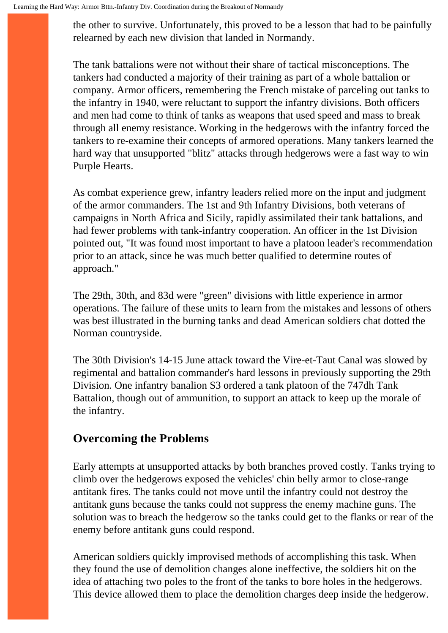the other to survive. Unfortunately, this proved to be a lesson that had to be painfully relearned by each new division that landed in Normandy.

The tank battalions were not without their share of tactical misconceptions. The tankers had conducted a majority of their training as part of a whole battalion or company. Armor officers, remembering the French mistake of parceling out tanks to the infantry in 1940, were reluctant to support the infantry divisions. Both officers and men had come to think of tanks as weapons that used speed and mass to break through all enemy resistance. Working in the hedgerows with the infantry forced the tankers to re-examine their concepts of armored operations. Many tankers learned the hard way that unsupported "blitz" attacks through hedgerows were a fast way to win Purple Hearts.

As combat experience grew, infantry leaders relied more on the input and judgment of the armor commanders. The 1st and 9th Infantry Divisions, both veterans of campaigns in North Africa and Sicily, rapidly assimilated their tank battalions, and had fewer problems with tank-infantry cooperation. An officer in the 1st Division pointed out, "It was found most important to have a platoon leader's recommendation prior to an attack, since he was much better qualified to determine routes of approach."

The 29th, 30th, and 83d were "green" divisions with little experience in armor operations. The failure of these units to learn from the mistakes and lessons of others was best illustrated in the burning tanks and dead American soldiers chat dotted the Norman countryside.

The 30th Division's 14-15 June attack toward the Vire-et-Taut Canal was slowed by regimental and battalion commander's hard lessons in previously supporting the 29th Division. One infantry banalion S3 ordered a tank platoon of the 747dh Tank Battalion, though out of ammunition, to support an attack to keep up the morale of the infantry.

## **Overcoming the Problems**

Early attempts at unsupported attacks by both branches proved costly. Tanks trying to climb over the hedgerows exposed the vehicles' chin belly armor to close-range antitank fires. The tanks could not move until the infantry could not destroy the antitank guns because the tanks could not suppress the enemy machine guns. The solution was to breach the hedgerow so the tanks could get to the flanks or rear of the enemy before antitank guns could respond.

American soldiers quickly improvised methods of accomplishing this task. When they found the use of demolition changes alone ineffective, the soldiers hit on the idea of attaching two poles to the front of the tanks to bore holes in the hedgerows. This device allowed them to place the demolition charges deep inside the hedgerow.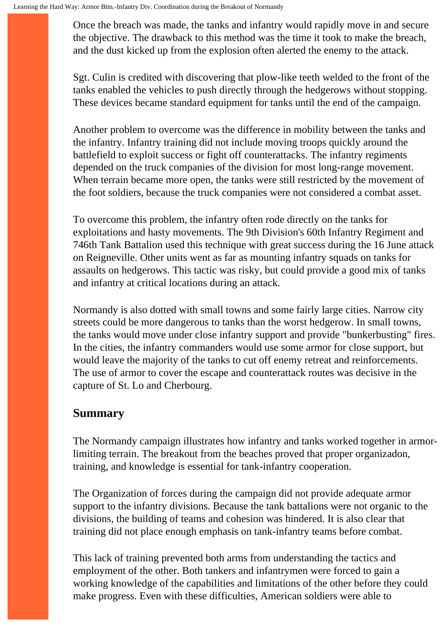Once the breach was made, the tanks and infantry would rapidly move in and secure the objective. The drawback to this method was the time it took to make the breach, and the dust kicked up from the explosion often alerted the enemy to the attack.

Sgt. Culin is credited with discovering that plow-like teeth welded to the front of the tanks enabled the vehicles to push directly through the hedgerows without stopping. These devices became standard equipment for tanks until the end of the campaign.

Another problem to overcome was the difference in mobility between the tanks and the infantry. Infantry training did not include moving troops quickly around the battlefield to exploit success or fight off counterattacks. The infantry regiments depended on the truck companies of the division for most long-range movement. When terrain became more open, the tanks were still restricted by the movement of the foot soldiers, because the truck companies were not considered a combat asset.

To overcome this problem, the infantry often rode directly on the tanks for exploitations and hasty movements. The 9th Division's 60th Infantry Regiment and 746th Tank Battalion used this technique with great success during the 16 June attack on Reigneville. Other units went as far as mounting infantry squads on tanks for assaults on hedgerows. This tactic was risky, but could provide a good mix of tanks and infantry at critical locations during an attack.

Normandy is also dotted with small towns and some fairly large cities. Narrow city streets could be more dangerous to tanks than the worst hedgerow. In small towns, the tanks would move under close infantry support and provide "bunkerbusting" fires. In the cities, the infantry commanders would use some armor for close support, but would leave the majority of the tanks to cut off enemy retreat and reinforcements. The use of armor to cover the escape and counterattack routes was decisive in the capture of St. Lo and Cherbourg.

### **Summary**

The Normandy campaign illustrates how infantry and tanks worked together in armorlimiting terrain. The breakout from the beaches proved that proper organizadon, training, and knowledge is essential for tank-infantry cooperation.

The Organization of forces during the campaign did not provide adequate armor support to the infantry divisions. Because the tank battalions were not organic to the divisions, the building of teams and cohesion was hindered. It is also clear that training did not place enough emphasis on tank-infantry teams before combat.

This lack of training prevented both arms from understanding the tactics and employment of the other. Both tankers and infantrymen were forced to gain a working knowledge of the capabilities and limitations of the other before they could make progress. Even with these difficulties, American soldiers were able to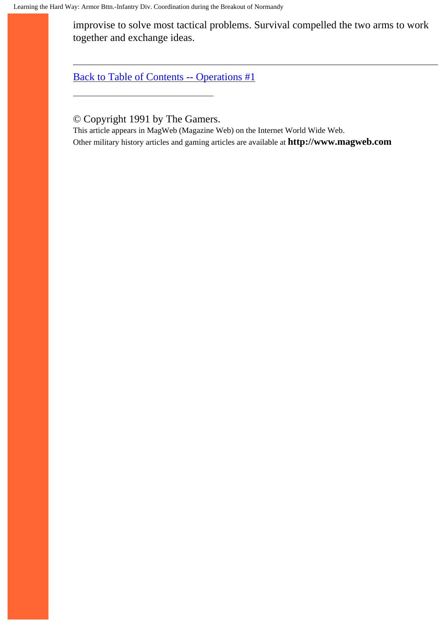improvise to solve most tactical problems. Survival compelled the two arms to work together and exchange ideas.

[Back to Table of Contents -- Operations #1](#page-1-0)

© Copyright 1991 by The Gamers.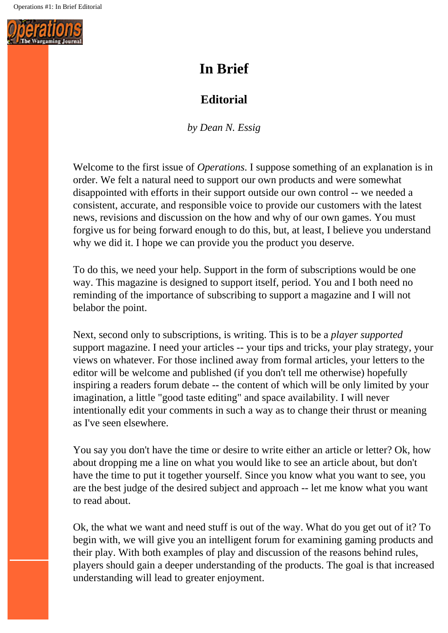<span id="page-37-0"></span>

# **In Brief**

# **Editorial**

*by Dean N. Essig*

Welcome to the first issue of *Operations*. I suppose something of an explanation is in order. We felt a natural need to support our own products and were somewhat disappointed with efforts in their support outside our own control -- we needed a consistent, accurate, and responsible voice to provide our customers with the latest news, revisions and discussion on the how and why of our own games. You must forgive us for being forward enough to do this, but, at least, I believe you understand why we did it. I hope we can provide you the product you deserve.

To do this, we need your help. Support in the form of subscriptions would be one way. This magazine is designed to support itself, period. You and I both need no reminding of the importance of subscribing to support a magazine and I will not belabor the point.

Next, second only to subscriptions, is writing. This is to be a *player supported* support magazine. I need your articles -- your tips and tricks, your play strategy, your views on whatever. For those inclined away from formal articles, your letters to the editor will be welcome and published (if you don't tell me otherwise) hopefully inspiring a readers forum debate -- the content of which will be only limited by your imagination, a little "good taste editing" and space availability. I will never intentionally edit your comments in such a way as to change their thrust or meaning as I've seen elsewhere.

You say you don't have the time or desire to write either an article or letter? Ok, how about dropping me a line on what you would like to see an article about, but don't have the time to put it together yourself. Since you know what you want to see, you are the best judge of the desired subject and approach -- let me know what you want to read about.

Ok, the what we want and need stuff is out of the way. What do you get out of it? To begin with, we will give you an intelligent forum for examining gaming products and their play. With both examples of play and discussion of the reasons behind rules, players should gain a deeper understanding of the products. The goal is that increased understanding will lead to greater enjoyment.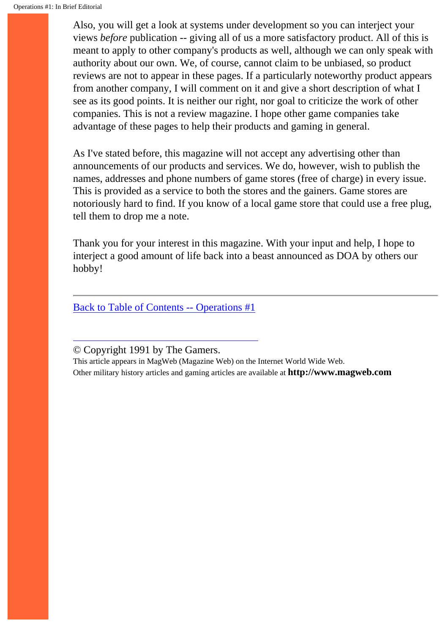Also, you will get a look at systems under development so you can interject your views *before* publication -- giving all of us a more satisfactory product. All of this is meant to apply to other company's products as well, although we can only speak with authority about our own. We, of course, cannot claim to be unbiased, so product reviews are not to appear in these pages. If a particularly noteworthy product appears from another company, I will comment on it and give a short description of what I see as its good points. It is neither our right, nor goal to criticize the work of other companies. This is not a review magazine. I hope other game companies take advantage of these pages to help their products and gaming in general.

As I've stated before, this magazine will not accept any advertising other than announcements of our products and services. We do, however, wish to publish the names, addresses and phone numbers of game stores (free of charge) in every issue. This is provided as a service to both the stores and the gainers. Game stores are notoriously hard to find. If you know of a local game store that could use a free plug, tell them to drop me a note.

Thank you for your interest in this magazine. With your input and help, I hope to interject a good amount of life back into a beast announced as DOA by others our hobby!

[Back to Table of Contents -- Operations #1](#page-1-0)

© Copyright 1991 by The Gamers.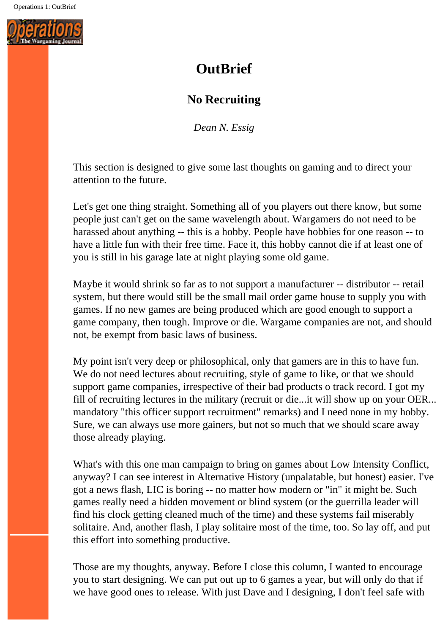<span id="page-39-0"></span>

# **OutBrief**

## **No Recruiting**

*Dean N. Essig*

This section is designed to give some last thoughts on gaming and to direct your attention to the future.

Let's get one thing straight. Something all of you players out there know, but some people just can't get on the same wavelength about. Wargamers do not need to be harassed about anything -- this is a hobby. People have hobbies for one reason -- to have a little fun with their free time. Face it, this hobby cannot die if at least one of you is still in his garage late at night playing some old game.

Maybe it would shrink so far as to not support a manufacturer -- distributor -- retail system, but there would still be the small mail order game house to supply you with games. If no new games are being produced which are good enough to support a game company, then tough. Improve or die. Wargame companies are not, and should not, be exempt from basic laws of business.

My point isn't very deep or philosophical, only that gamers are in this to have fun. We do not need lectures about recruiting, style of game to like, or that we should support game companies, irrespective of their bad products o track record. I got my fill of recruiting lectures in the military (recruit or die...it will show up on your OER... mandatory "this officer support recruitment" remarks) and I need none in my hobby. Sure, we can always use more gainers, but not so much that we should scare away those already playing.

What's with this one man campaign to bring on games about Low Intensity Conflict, anyway? I can see interest in Alternative History (unpalatable, but honest) easier. I've got a news flash, LIC is boring -- no matter how modern or "in" it might be. Such games really need a hidden movement or blind system (or the guerrilla leader will find his clock getting cleaned much of the time) and these systems fail miserably solitaire. And, another flash, I play solitaire most of the time, too. So lay off, and put this effort into something productive.

Those are my thoughts, anyway. Before I close this column, I wanted to encourage you to start designing. We can put out up to 6 games a year, but will only do that if we have good ones to release. With just Dave and I designing, I don't feel safe with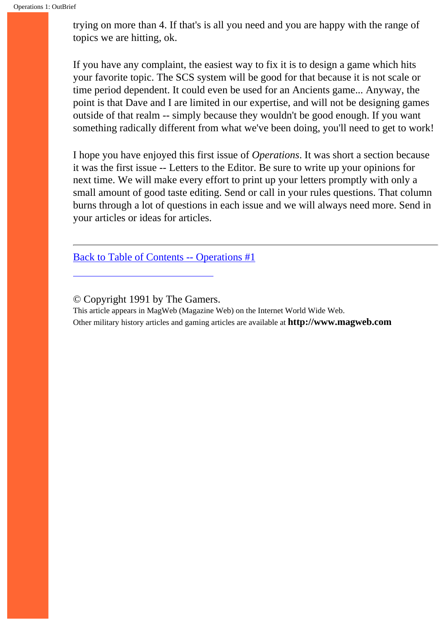trying on more than 4. If that's is all you need and you are happy with the range of topics we are hitting, ok.

If you have any complaint, the easiest way to fix it is to design a game which hits your favorite topic. The SCS system will be good for that because it is not scale or time period dependent. It could even be used for an Ancients game... Anyway, the point is that Dave and I are limited in our expertise, and will not be designing games outside of that realm -- simply because they wouldn't be good enough. If you want something radically different from what we've been doing, you'll need to get to work!

I hope you have enjoyed this first issue of *Operations*. It was short a section because it was the first issue -- Letters to the Editor. Be sure to write up your opinions for next time. We will make every effort to print up your letters promptly with only a small amount of good taste editing. Send or call in your rules questions. That column burns through a lot of questions in each issue and we will always need more. Send in your articles or ideas for articles.

[Back to Table of Contents -- Operations #1](#page-1-0)

© Copyright 1991 by The Gamers.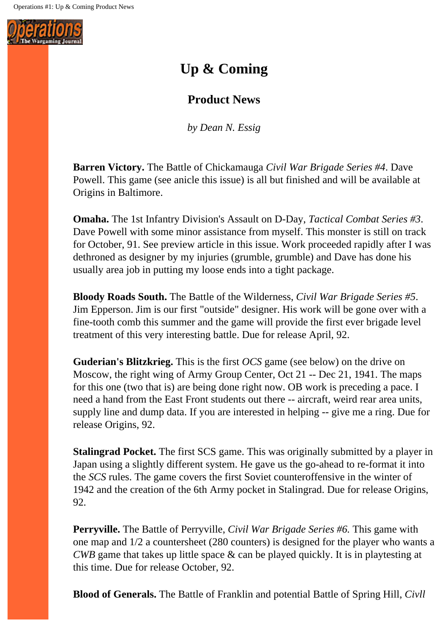<span id="page-41-0"></span>

# **Up & Coming**

## **Product News**

*by Dean N. Essig*

**Barren Victory.** The Battle of Chickamauga *Civil War Brigade Series #4*. Dave Powell. This game (see anicle this issue) is all but finished and will be available at Origins in Baltimore.

**Omaha.** The 1st Infantry Division's Assault on D-Day, *Tactical Combat Series #3*. Dave Powell with some minor assistance from myself. This monster is still on track for October, 91. See preview article in this issue. Work proceeded rapidly after I was dethroned as designer by my injuries (grumble, grumble) and Dave has done his usually area job in putting my loose ends into a tight package.

**Bloody Roads South.** The Battle of the Wilderness, *Civil War Brigade Series #5*. Jim Epperson. Jim is our first "outside" designer. His work will be gone over with a fine-tooth comb this summer and the game will provide the first ever brigade level treatment of this very interesting battle. Due for release April, 92.

**Guderian's Blitzkrieg.** This is the first *OCS* game (see below) on the drive on Moscow, the right wing of Army Group Center, Oct 21 -- Dec 21, 1941. The maps for this one (two that is) are being done right now. OB work is preceding a pace. I need a hand from the East Front students out there -- aircraft, weird rear area units, supply line and dump data. If you are interested in helping -- give me a ring. Due for release Origins, 92.

**Stalingrad Pocket.** The first SCS game. This was originally submitted by a player in Japan using a slightly different system. He gave us the go-ahead to re-format it into the *SCS* rules. The game covers the first Soviet counteroffensive in the winter of 1942 and the creation of the 6th Army pocket in Stalingrad. Due for release Origins, 92.

**Perryville.** The Battle of Perryville, *Civil War Brigade Series #6.* This game with one map and 1/2 a countersheet (280 counters) is designed for the player who wants a *CWB* game that takes up little space & can be played quickly. It is in playtesting at this time. Due for release October, 92.

**Blood of Generals.** The Battle of Franklin and potential Battle of Spring Hill, *Civll*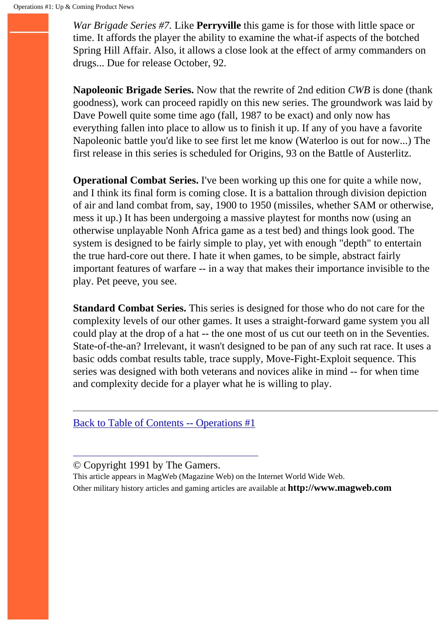*War Brigade Series #7.* Like **Perryville** this game is for those with little space or time. It affords the player the ability to examine the what-if aspects of the botched Spring Hill Affair. Also, it allows a close look at the effect of army commanders on drugs... Due for release October, 92.

**Napoleonic Brigade Series.** Now that the rewrite of 2nd edition *CWB* is done (thank goodness), work can proceed rapidly on this new series. The groundwork was laid by Dave Powell quite some time ago (fall, 1987 to be exact) and only now has everything fallen into place to allow us to finish it up. If any of you have a favorite Napoleonic battle you'd like to see first let me know (Waterloo is out for now...) The first release in this series is scheduled for Origins, 93 on the Battle of Austerlitz.

**Operational Combat Series.** I've been working up this one for quite a while now, and I think its final form is coming close. It is a battalion through division depiction of air and land combat from, say, 1900 to 1950 (missiles, whether SAM or otherwise, mess it up.) It has been undergoing a massive playtest for months now (using an otherwise unplayable Nonh Africa game as a test bed) and things look good. The system is designed to be fairly simple to play, yet with enough "depth" to entertain the true hard-core out there. I hate it when games, to be simple, abstract fairly important features of warfare -- in a way that makes their importance invisible to the play. Pet peeve, you see.

**Standard Combat Series.** This series is designed for those who do not care for the complexity levels of our other games. It uses a straight-forward game system you all could play at the drop of a hat -- the one most of us cut our teeth on in the Seventies. State-of-the-an? Irrelevant, it wasn't designed to be pan of any such rat race. It uses a basic odds combat results table, trace supply, Move-Fight-Exploit sequence. This series was designed with both veterans and novices alike in mind -- for when time and complexity decide for a player what he is willing to play.

[Back to Table of Contents -- Operations #1](#page-1-0)

© Copyright 1991 by The Gamers.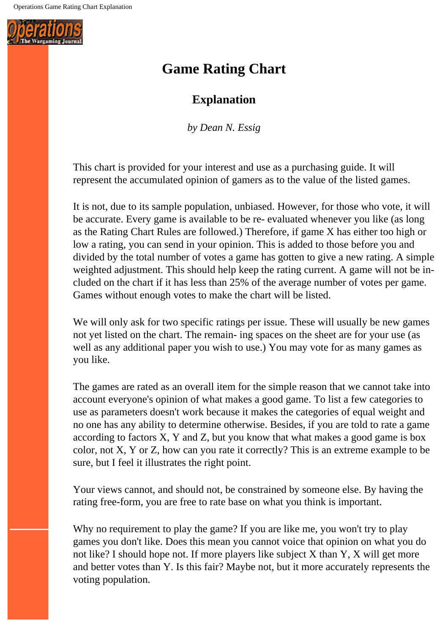<span id="page-43-0"></span>

# **Game Rating Chart**

## **Explanation**

*by Dean N. Essig*

This chart is provided for your interest and use as a purchasing guide. It will represent the accumulated opinion of gamers as to the value of the listed games.

It is not, due to its sample population, unbiased. However, for those who vote, it will be accurate. Every game is available to be re- evaluated whenever you like (as long as the Rating Chart Rules are followed.) Therefore, if game X has either too high or low a rating, you can send in your opinion. This is added to those before you and divided by the total number of votes a game has gotten to give a new rating. A simple weighted adjustment. This should help keep the rating current. A game will not be included on the chart if it has less than 25% of the average number of votes per game. Games without enough votes to make the chart will be listed.

We will only ask for two specific ratings per issue. These will usually be new games not yet listed on the chart. The remain- ing spaces on the sheet are for your use (as well as any additional paper you wish to use.) You may vote for as many games as you like.

The games are rated as an overall item for the simple reason that we cannot take into account everyone's opinion of what makes a good game. To list a few categories to use as parameters doesn't work because it makes the categories of equal weight and no one has any ability to determine otherwise. Besides, if you are told to rate a game according to factors X, Y and Z, but you know that what makes a good game is box color, not X, Y or Z, how can you rate it correctly? This is an extreme example to be sure, but I feel it illustrates the right point.

Your views cannot, and should not, be constrained by someone else. By having the rating free-form, you are free to rate base on what you think is important.

Why no requirement to play the game? If you are like me, you won't try to play games you don't like. Does this mean you cannot voice that opinion on what you do not like? I should hope not. If more players like subject X than Y, X will get more and better votes than Y. Is this fair? Maybe not, but it more accurately represents the voting population.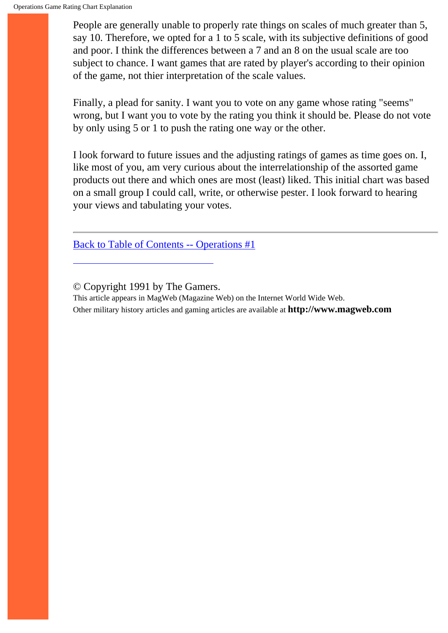People are generally unable to properly rate things on scales of much greater than 5, say 10. Therefore, we opted for a 1 to 5 scale, with its subjective definitions of good and poor. I think the differences between a 7 and an 8 on the usual scale are too subject to chance. I want games that are rated by player's according to their opinion of the game, not thier interpretation of the scale values.

Finally, a plead for sanity. I want you to vote on any game whose rating "seems" wrong, but I want you to vote by the rating you think it should be. Please do not vote by only using 5 or 1 to push the rating one way or the other.

I look forward to future issues and the adjusting ratings of games as time goes on. I, like most of you, am very curious about the interrelationship of the assorted game products out there and which ones are most (least) liked. This initial chart was based on a small group I could call, write, or otherwise pester. I look forward to hearing your views and tabulating your votes.

[Back to Table of Contents -- Operations #1](#page-1-0)

© Copyright 1991 by The Gamers.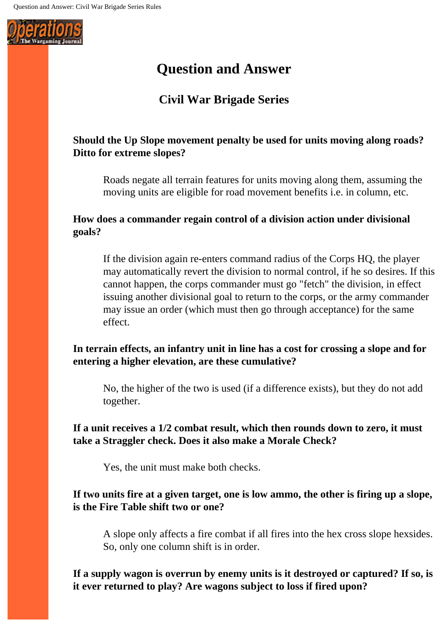<span id="page-45-0"></span>

# **Question and Answer**

# **Civil War Brigade Series**

### **Should the Up Slope movement penalty be used for units moving along roads? Ditto for extreme slopes?**

Roads negate all terrain features for units moving along them, assuming the moving units are eligible for road movement benefits i.e. in column, etc.

### **How does a commander regain control of a division action under divisional goals?**

If the division again re-enters command radius of the Corps HQ, the player may automatically revert the division to normal control, if he so desires. If this cannot happen, the corps commander must go "fetch" the division, in effect issuing another divisional goal to return to the corps, or the army commander may issue an order (which must then go through acceptance) for the same effect.

### **In terrain effects, an infantry unit in line has a cost for crossing a slope and for entering a higher elevation, are these cumulative?**

No, the higher of the two is used (if a difference exists), but they do not add together.

**If a unit receives a 1/2 combat result, which then rounds down to zero, it must take a Straggler check. Does it also make a Morale Check?** 

Yes, the unit must make both checks.

### **If two units fire at a given target, one is low ammo, the other is firing up a slope, is the Fire Table shift two or one?**

A slope only affects a fire combat if all fires into the hex cross slope hexsides. So, only one column shift is in order.

**If a supply wagon is overrun by enemy units is it destroyed or captured? If so, is it ever returned to play? Are wagons subject to loss if fired upon?**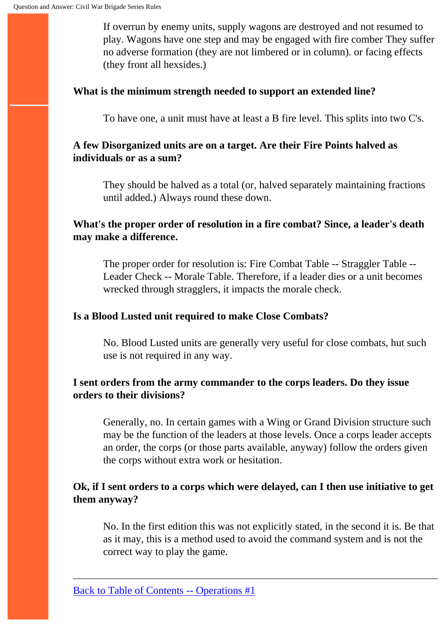If overrun by enemy units, supply wagons are destroyed and not resumed to play. Wagons have one step and may be engaged with fire comber They suffer no adverse formation (they are not limbered or in column). or facing effects (they front all hexsides.)

#### **What is the minimum strength needed to support an extended line?**

To have one, a unit must have at least a B fire level. This splits into two C's.

### **A few Disorganized units are on a target. Are their Fire Points halved as individuals or as a sum?**

They should be halved as a total (or, halved separately maintaining fractions until added.) Always round these down.

### **What's the proper order of resolution in a fire combat? Since, a leader's death may make a difference.**

The proper order for resolution is: Fire Combat Table -- Straggler Table -- Leader Check -- Morale Table. Therefore, if a leader dies or a unit becomes wrecked through stragglers, it impacts the morale check.

### **Is a Blood Lusted unit required to make Close Combats?**

No. Blood Lusted units are generally very useful for close combats, hut such use is not required in any way.

### **I sent orders from the army commander to the corps leaders. Do they issue orders to their divisions?**

Generally, no. In certain games with a Wing or Grand Division structure such may be the function of the leaders at those levels. Once a corps leader accepts an order, the corps (or those parts available, anyway) follow the orders given the corps without extra work or hesitation.

### **Ok, if I sent orders to a corps which were delayed, can I then use initiative to get them anyway?**

No. In the first edition this was not explicitly stated, in the second it is. Be that as it may, this is a method used to avoid the command system and is not the correct way to play the game.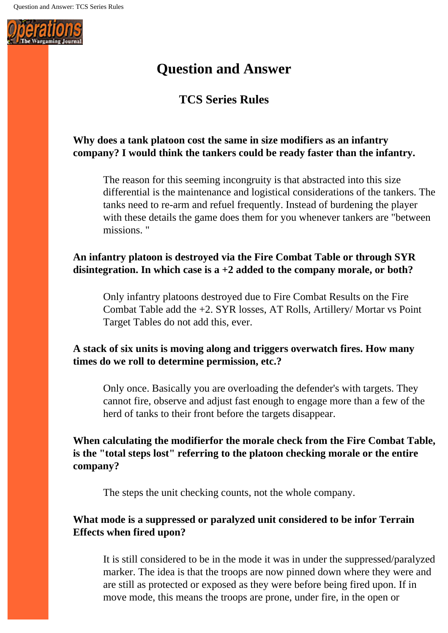<span id="page-47-0"></span>

# **Question and Answer**

## **TCS Series Rules**

### **Why does a tank platoon cost the same in size modifiers as an infantry company? I would think the tankers could be ready faster than the infantry.**

The reason for this seeming incongruity is that abstracted into this size differential is the maintenance and logistical considerations of the tankers. The tanks need to re-arm and refuel frequently. Instead of burdening the player with these details the game does them for you whenever tankers are "between missions. "

### **An infantry platoon is destroyed via the Fire Combat Table or through SYR disintegration. In which case is a +2 added to the company morale, or both?**

Only infantry platoons destroyed due to Fire Combat Results on the Fire Combat Table add the +2. SYR losses, AT Rolls, Artillery/ Mortar vs Point Target Tables do not add this, ever.

### **A stack of six units is moving along and triggers overwatch fires. How many times do we roll to determine permission, etc.?**

Only once. Basically you are overloading the defender's with targets. They cannot fire, observe and adjust fast enough to engage more than a few of the herd of tanks to their front before the targets disappear.

### **When calculating the modifierfor the morale check from the Fire Combat Table, is the "total steps lost" referring to the platoon checking morale or the entire company?**

The steps the unit checking counts, not the whole company.

### **What mode is a suppressed or paralyzed unit considered to be infor Terrain Effects when fired upon?**

It is still considered to be in the mode it was in under the suppressed/paralyzed marker. The idea is that the troops are now pinned down where they were and are still as protected or exposed as they were before being fired upon. If in move mode, this means the troops are prone, under fire, in the open or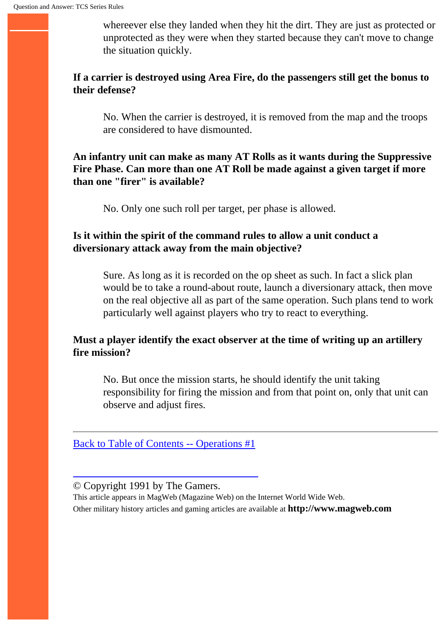whereever else they landed when they hit the dirt. They are just as protected or unprotected as they were when they started because they can't move to change the situation quickly.

### **If a carrier is destroyed using Area Fire, do the passengers still get the bonus to their defense?**

No. When the carrier is destroyed, it is removed from the map and the troops are considered to have dismounted.

### **An infantry unit can make as many AT Rolls as it wants during the Suppressive Fire Phase. Can more than one AT Roll be made against a given target if more than one "firer" is available?**

No. Only one such roll per target, per phase is allowed.

### **Is it within the spirit of the command rules to allow a unit conduct a diversionary attack away from the main objective?**

Sure. As long as it is recorded on the op sheet as such. In fact a slick plan would be to take a round-about route, launch a diversionary attack, then move on the real objective all as part of the same operation. Such plans tend to work particularly well against players who try to react to everything.

### **Must a player identify the exact observer at the time of writing up an artillery fire mission?**

No. But once the mission starts, he should identify the unit taking responsibility for firing the mission and from that point on, only that unit can observe and adjust fires.

[Back to Table of Contents -- Operations #1](#page-1-0)

#### © Copyright 1991 by The Gamers.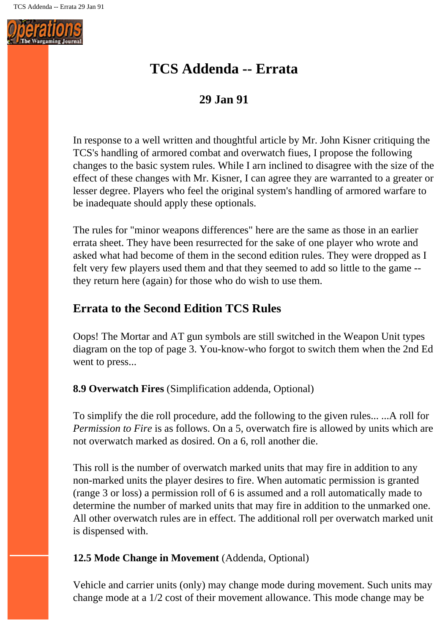<span id="page-49-0"></span>

# **TCS Addenda -- Errata**

## **29 Jan 91**

In response to a well written and thoughtful article by Mr. John Kisner critiquing the TCS's handling of armored combat and overwatch fiues, I propose the following changes to the basic system rules. While I arn inclined to disagree with the size of the effect of these changes with Mr. Kisner, I can agree they are warranted to a greater or lesser degree. Players who feel the original system's handling of armored warfare to be inadequate should apply these optionals.

The rules for "minor weapons differences" here are the same as those in an earlier errata sheet. They have been resurrected for the sake of one player who wrote and asked what had become of them in the second edition rules. They were dropped as I felt very few players used them and that they seemed to add so little to the game - they return here (again) for those who do wish to use them.

## **Errata to the Second Edition TCS Rules**

Oops! The Mortar and AT gun symbols are still switched in the Weapon Unit types diagram on the top of page 3. You-know-who forgot to switch them when the 2nd Ed went to press...

#### **8.9 Overwatch Fires** (Simplification addenda, Optional)

To simplify the die roll procedure, add the following to the given rules... ...A roll for *Permission to Fire* is as follows. On a 5, overwatch fire is allowed by units which are not overwatch marked as dosired. On a 6, roll another die.

This roll is the number of overwatch marked units that may fire in addition to any non-marked units the player desires to fire. When automatic permission is granted (range 3 or loss) a permission roll of 6 is assumed and a roll automatically made to determine the number of marked units that may fire in addition to the unmarked one. All other overwatch rules are in effect. The additional roll per overwatch marked unit is dispensed with.

### **12.5 Mode Change in Movement** (Addenda, Optional)

Vehicle and carrier units (only) may change mode during movement. Such units may change mode at a 1/2 cost of their movement allowance. This mode change may be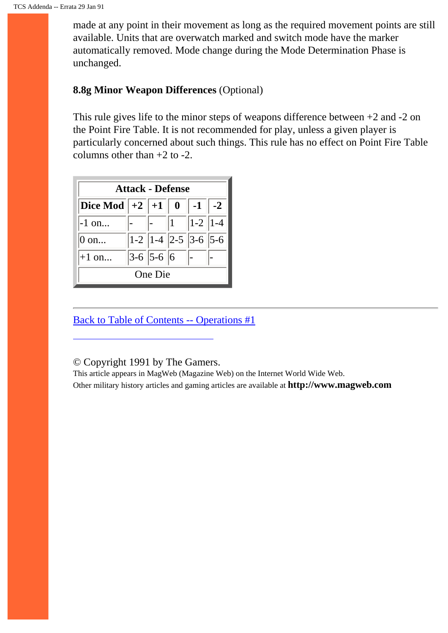made at any point in their movement as long as the required movement points are still available. Units that are overwatch marked and switch mode have the marker automatically removed. Mode change during the Mode Determination Phase is unchanged.

#### **8.8g Minor Weapon Differences** (Optional)

This rule gives life to the minor steps of weapons difference between +2 and -2 on the Point Fire Table. It is not recommended for play, unless a given player is particularly concerned about such things. This rule has no effect on Point Fire Table columns other than  $+2$  to  $-2$ .

| <b>Attack - Defense</b>                                     |  |             |  |                                                                 |  |  |  |  |  |  |  |
|-------------------------------------------------------------|--|-------------|--|-----------------------------------------------------------------|--|--|--|--|--|--|--|
| <b>Dice Mod</b> $\parallel$ +2 $\parallel$ +1 $\parallel$ 0 |  |             |  | $-1$   $-2$                                                     |  |  |  |  |  |  |  |
| $-1$ on                                                     |  |             |  | $\begin{vmatrix} - & 1 \\ 1 & -1 \end{vmatrix}$   1 - 2   1 - 4 |  |  |  |  |  |  |  |
| $0$ on                                                      |  |             |  | $ 1-2  1-4  2-5  3-6  5-6$                                      |  |  |  |  |  |  |  |
| $+1$ on                                                     |  | $3-6$ 5-6 6 |  |                                                                 |  |  |  |  |  |  |  |
| One Die                                                     |  |             |  |                                                                 |  |  |  |  |  |  |  |

[Back to Table of Contents -- Operations #1](#page-1-0)

© Copyright 1991 by The Gamers.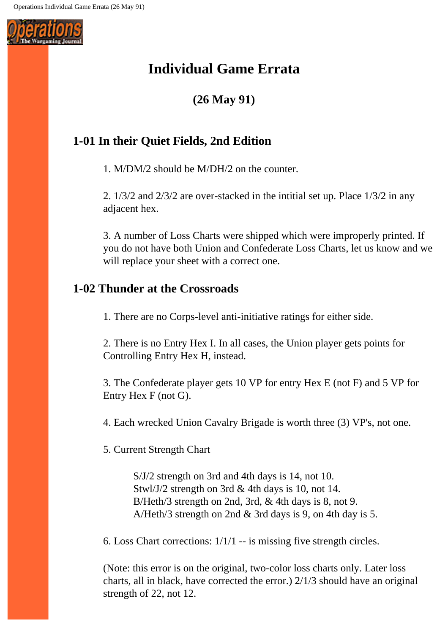<span id="page-51-0"></span>

# **Individual Game Errata**

**(26 May 91)**

# **1-01 In their Quiet Fields, 2nd Edition**

1. M/DM/2 should be M/DH/2 on the counter.

2. 1/3/2 and 2/3/2 are over-stacked in the intitial set up. Place 1/3/2 in any adjacent hex.

3. A number of Loss Charts were shipped which were improperly printed. If you do not have both Union and Confederate Loss Charts, let us know and we will replace your sheet with a correct one.

## **1-02 Thunder at the Crossroads**

1. There are no Corps-level anti-initiative ratings for either side.

2. There is no Entry Hex I. In all cases, the Union player gets points for Controlling Entry Hex H, instead.

3. The Confederate player gets 10 VP for entry Hex E (not F) and 5 VP for Entry Hex F (not G).

4. Each wrecked Union Cavalry Brigade is worth three (3) VP's, not one.

5. Current Strength Chart

S/J/2 strength on 3rd and 4th days is 14, not 10. Stwl/J/2 strength on 3rd & 4th days is 10, not 14. B/Heth/3 strength on 2nd, 3rd, & 4th days is 8, not 9. A/Heth/3 strength on 2nd & 3rd days is 9, on 4th day is 5.

6. Loss Chart corrections: 1/1/1 -- is missing five strength circles.

(Note: this error is on the original, two-color loss charts only. Later loss charts, all in black, have corrected the error.) 2/1/3 should have an original strength of 22, not 12.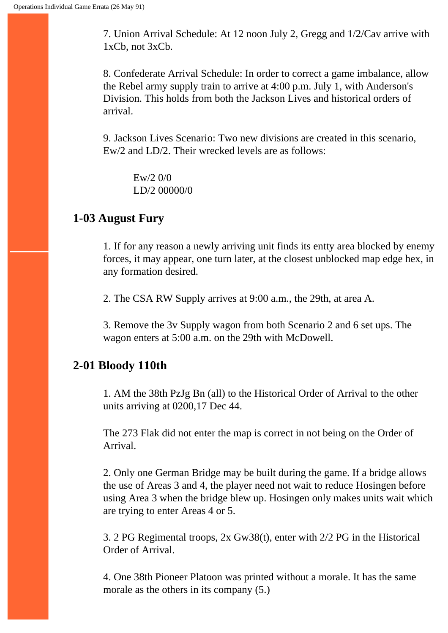7. Union Arrival Schedule: At 12 noon July 2, Gregg and 1/2/Cav arrive with 1xCb, not 3xCb.

8. Confederate Arrival Schedule: In order to correct a game imbalance, allow the Rebel army supply train to arrive at 4:00 p.m. July 1, with Anderson's Division. This holds from both the Jackson Lives and historical orders of arrival.

9. Jackson Lives Scenario: Two new divisions are created in this scenario, Ew/2 and LD/2. Their wrecked levels are as follows:

Ew/2 0/0 LD/2 00000/0

### **1-03 August Fury**

1. If for any reason a newly arriving unit finds its entty area blocked by enemy forces, it may appear, one turn later, at the closest unblocked map edge hex, in any formation desired.

2. The CSA RW Supply arrives at 9:00 a.m., the 29th, at area A.

3. Remove the 3v Supply wagon from both Scenario 2 and 6 set ups. The wagon enters at 5:00 a.m. on the 29th with McDowell.

### **2-01 Bloody 110th**

1. AM the 38th PzJg Bn (all) to the Historical Order of Arrival to the other units arriving at 0200,17 Dec 44.

The 273 Flak did not enter the map is correct in not being on the Order of Arrival.

2. Only one German Bridge may be built during the game. If a bridge allows the use of Areas 3 and 4, the player need not wait to reduce Hosingen before using Area 3 when the bridge blew up. Hosingen only makes units wait which are trying to enter Areas 4 or 5.

3. 2 PG Regimental troops, 2x Gw38(t), enter with 2/2 PG in the Historical Order of Arrival.

4. One 38th Pioneer Platoon was printed without a morale. It has the same morale as the others in its company (5.)